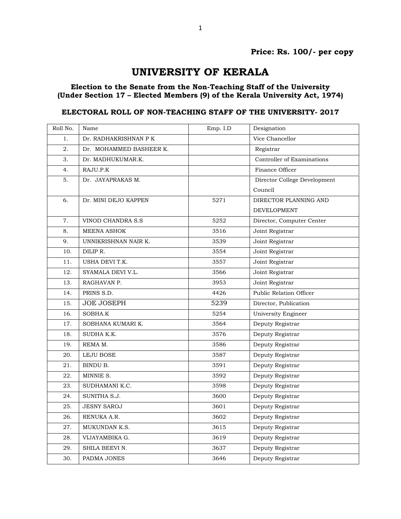## UNIVERSITY OF KERALA

## Election to the Senate from the Non-Teaching Staff of the University (Under Section 17 – Elected Members (9) of the Kerala University Act, 1974)

## ELECTORAL ROLL OF NON-TEACHING STAFF OF THE UNIVERSITY- 2017

| Roll No. | Name                    | Emp. I.D | Designation                  |
|----------|-------------------------|----------|------------------------------|
| 1.       | Dr. RADHAKRISHNAN P K   |          | Vice Chancellor              |
| 2.       | Dr. MOHAMMED BASHEER K. |          | Registrar                    |
| 3.       | Dr. MADHUKUMAR.K.       |          | Controller of Examinations   |
| 4.       | RAJU.P.K                |          | Finance Officer              |
| 5.       | Dr. JAYAPRAKAS M.       |          | Director College Development |
|          |                         |          | Council                      |
| 6.       | Dr. MINI DEJO KAPPEN    | 5271     | DIRECTOR PLANNING AND        |
|          |                         |          | <b>DEVELOPMENT</b>           |
| 7.       | VINOD CHANDRA S.S       | 5252     | Director, Computer Center    |
| 8.       | MEENA ASHOK             | 3516     | Joint Registrar              |
| 9.       | UNNIKRISHNAN NAIR K.    | 3539     | Joint Registrar              |
| 10.      | DILIP R.                | 3554     | Joint Registrar              |
| 11.      | USHA DEVI T.K.          | 3557     | Joint Registrar              |
| 12.      | SYAMALA DEVI V.L.       | 3566     | Joint Registrar              |
| 13.      | RAGHAVAN P.             | 3953     | Joint Registrar              |
| 14.      | PRINS S.D.              | 4426     | Public Relation Officer      |
| 15.      | <b>JOE JOSEPH</b>       | 5239     | Director, Publication        |
| 16.      | SOBHA.K                 | 5254     | University Engineer          |
| 17.      | SOBHANA KUMARI K.       | 3564     | Deputy Registrar             |
| 18.      | SUDHA K.K.              | 3576     | Deputy Registrar             |
| 19.      | REMA M.                 | 3586     | Deputy Registrar             |
| 20.      | <b>LEJU BOSE</b>        | 3587     | Deputy Registrar             |
| 21.      | BINDU B.                | 3591     | Deputy Registrar             |
| 22.      | MINNIE S.               | 3592     | Deputy Registrar             |
| 23.      | SUDHAMANI K.C.          | 3598     | Deputy Registrar             |
| 24.      | SUNITHA S.J.            | 3600     | Deputy Registrar             |
| 25.      | <b>JESNY SAROJ</b>      | 3601     | Deputy Registrar             |
| 26.      | RENUKA A.R.             | 3602     | Deputy Registrar             |
| 27.      | MUKUNDAN K.S.           | 3615     | Deputy Registrar             |
| 28.      | VIJAYAMBIKA G.          | 3619     | Deputy Registrar             |
| 29.      | SHILA BEEVI N.          | 3637     | Deputy Registrar             |
| 30.      | PADMA JONES             | 3646     | Deputy Registrar             |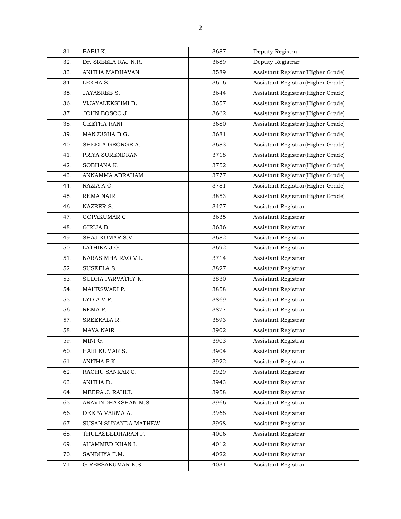| 31. | BABU K.              | 3687 | Deputy Registrar                  |
|-----|----------------------|------|-----------------------------------|
| 32. | Dr. SREELA RAJ N.R.  | 3689 | Deputy Registrar                  |
| 33. | ANITHA MADHAVAN      | 3589 | Assistant Registrar(Higher Grade) |
| 34. | LEKHA S.             | 3616 | Assistant Registrar(Higher Grade) |
| 35. | JAYASREE S.          | 3644 | Assistant Registrar(Higher Grade) |
| 36. | VIJAYALEKSHMI B.     | 3657 | Assistant Registrar(Higher Grade) |
| 37. | JOHN BOSCO J.        | 3662 | Assistant Registrar(Higher Grade) |
| 38. | <b>GEETHA RANI</b>   | 3680 | Assistant Registrar(Higher Grade) |
| 39. | MANJUSHA B.G.        | 3681 | Assistant Registrar(Higher Grade) |
| 40. | SHEELA GEORGE A.     | 3683 | Assistant Registrar(Higher Grade) |
| 41. | PRIYA SURENDRAN      | 3718 | Assistant Registrar(Higher Grade) |
| 42. | SOBHANA K.           | 3752 | Assistant Registrar(Higher Grade) |
| 43. | ANNAMMA ABRAHAM      | 3777 | Assistant Registrar(Higher Grade) |
| 44. | RAZIA A.C.           | 3781 | Assistant Registrar(Higher Grade) |
| 45. | <b>REMA NAIR</b>     | 3853 | Assistant Registrar(Higher Grade) |
| 46. | NAZEER S.            | 3477 | Assistant Registrar               |
| 47. | <b>GOPAKUMAR C.</b>  | 3635 | Assistant Registrar               |
| 48. | GIRIJA B.            | 3636 | Assistant Registrar               |
| 49. | SHAJIKUMAR S.V.      | 3682 | Assistant Registrar               |
| 50. | LATHIKA J.G.         | 3692 | Assistant Registrar               |
| 51. | NARASIMHA RAO V.L.   | 3714 | Assistant Registrar               |
| 52. | SUSEELA S.           | 3827 | Assistant Registrar               |
| 53. | SUDHA PARVATHY K.    | 3830 | Assistant Registrar               |
| 54. | MAHESWARI P.         | 3858 | Assistant Registrar               |
| 55. | LYDIA V.F.           | 3869 | Assistant Registrar               |
| 56. | REMA P.              | 3877 | Assistant Registrar               |
| 57. | SREEKALA R.          | 3893 | Assistant Registrar               |
| 58. | <b>MAYA NAIR</b>     | 3902 | Assistant Registrar               |
| 59. | MINI G.              | 3903 | Assistant Registrar               |
| 60. | HARI KUMAR S.        | 3904 | Assistant Registrar               |
| 61. | ANITHA P.K.          | 3922 | Assistant Registrar               |
| 62. | RAGHU SANKAR C.      | 3929 | Assistant Registrar               |
| 63. | ANITHA D.            | 3943 | Assistant Registrar               |
| 64. | MEERA J. RAHUL       | 3958 | Assistant Registrar               |
| 65. | ARAVINDHAKSHAN M.S.  | 3966 | Assistant Registrar               |
| 66. | DEEPA VARMA A.       | 3968 | Assistant Registrar               |
| 67. | SUSAN SUNANDA MATHEW | 3998 | Assistant Registrar               |
| 68. | THULASEEDHARAN P.    | 4006 | Assistant Registrar               |
| 69. | AHAMMED KHAN I.      | 4012 | Assistant Registrar               |
| 70. | SANDHYA T.M.         | 4022 | Assistant Registrar               |
| 71. | GIREESAKUMAR K.S.    | 4031 | Assistant Registrar               |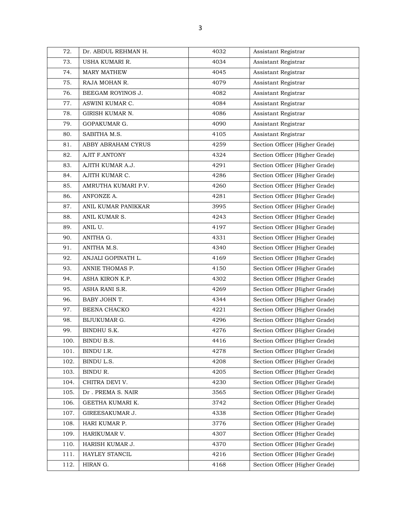| 72.  | Dr. ABDUL REHMAN H.  | 4032 | Assistant Registrar            |
|------|----------------------|------|--------------------------------|
| 73.  | USHA KUMARI R.       | 4034 | Assistant Registrar            |
| 74.  | <b>MARY MATHEW</b>   | 4045 | Assistant Registrar            |
| 75.  | RAJA MOHAN R.        | 4079 | Assistant Registrar            |
| 76.  | BEEGAM ROYINOS J.    | 4082 | Assistant Registrar            |
| 77.  | ASWINI KUMAR C.      | 4084 | Assistant Registrar            |
| 78.  | GIRISH KUMAR N.      | 4086 | Assistant Registrar            |
| 79.  | <b>GOPAKUMAR G.</b>  | 4090 | Assistant Registrar            |
| 80.  | SABITHA M.S.         | 4105 | Assistant Registrar            |
| 81.  | ABBY ABRAHAM CYRUS   | 4259 | Section Officer (Higher Grade) |
| 82.  | <b>AJIT F.ANTONY</b> | 4324 | Section Officer (Higher Grade) |
| 83.  | AJITH KUMAR A.J.     | 4291 | Section Officer (Higher Grade) |
| 84.  | AJITH KUMAR C.       | 4286 | Section Officer (Higher Grade) |
| 85.  | AMRUTHA KUMARI P.V.  | 4260 | Section Officer (Higher Grade) |
| 86.  | ANFONZE A.           | 4281 | Section Officer (Higher Grade) |
| 87.  | ANIL KUMAR PANIKKAR  | 3995 | Section Officer (Higher Grade) |
| 88.  | ANIL KUMAR S.        | 4243 | Section Officer (Higher Grade) |
| 89.  | ANIL U.              | 4197 | Section Officer (Higher Grade) |
| 90.  | ANITHA G.            | 4331 | Section Officer (Higher Grade) |
| 91.  | ANITHA M.S.          | 4340 | Section Officer (Higher Grade) |
| 92.  | ANJALI GOPINATH L.   | 4169 | Section Officer (Higher Grade) |
| 93.  | ANNIE THOMAS P.      | 4150 | Section Officer (Higher Grade) |
| 94.  | ASHA KIRON K.P.      | 4302 | Section Officer (Higher Grade) |
| 95.  | ASHA RANI S.R.       | 4269 | Section Officer (Higher Grade) |
| 96.  | BABY JOHN T.         | 4344 | Section Officer (Higher Grade) |
| 97.  | BEENA CHACKO         | 4221 | Section Officer (Higher Grade) |
| 98.  | BIJUKUMAR G.         | 4296 | Section Officer (Higher Grade) |
| 99.  | BINDHU S.K.          | 4276 | Section Officer (Higher Grade) |
| 100. | BINDU B.S.           | 4416 | Section Officer (Higher Grade) |
| 101. | BINDU I.R.           | 4278 | Section Officer (Higher Grade) |
| 102. | BINDU L.S.           | 4208 | Section Officer (Higher Grade) |
| 103. | BINDU R.             | 4205 | Section Officer (Higher Grade) |
| 104. | CHITRA DEVI V.       | 4230 | Section Officer (Higher Grade) |
| 105. | Dr. PREMA S. NAIR    | 3565 | Section Officer (Higher Grade) |
| 106. | GEETHA KUMARI K.     | 3742 | Section Officer (Higher Grade) |
| 107. | GIREESAKUMAR J.      | 4338 | Section Officer (Higher Grade) |
| 108. | HARI KUMAR P.        | 3776 | Section Officer (Higher Grade) |
| 109. | HARIKUMAR V.         | 4307 | Section Officer (Higher Grade) |
| 110. | HARISH KUMAR J.      | 4370 | Section Officer (Higher Grade) |
| 111. | HAYLEY STANCIL       | 4216 | Section Officer (Higher Grade) |
| 112. | HIRAN G.             | 4168 | Section Officer (Higher Grade) |
|      |                      |      |                                |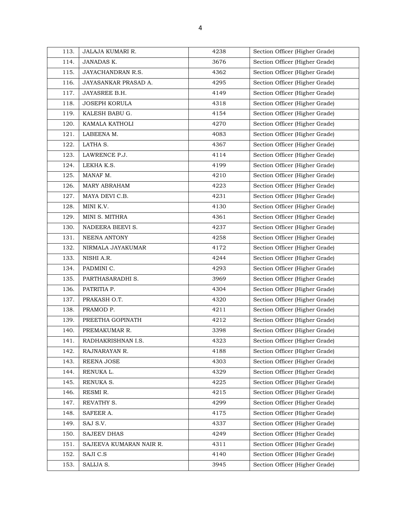| 113. | JALAJA KUMARI R.        | 4238 | Section Officer (Higher Grade) |
|------|-------------------------|------|--------------------------------|
| 114. | JANADAS K.              | 3676 | Section Officer (Higher Grade) |
| 115. | JAYACHANDRAN R.S.       | 4362 | Section Officer (Higher Grade) |
| 116. | JAYASANKAR PRASAD A.    | 4295 | Section Officer (Higher Grade) |
| 117. | JAYASREE B.H.           | 4149 | Section Officer (Higher Grade) |
| 118. | <b>JOSEPH KORULA</b>    | 4318 | Section Officer (Higher Grade) |
| 119. | KALESH BABU G.          | 4154 | Section Officer (Higher Grade) |
| 120. | KAMALA KATHOLI          | 4270 | Section Officer (Higher Grade) |
| 121. | LABEENA M.              | 4083 | Section Officer (Higher Grade) |
| 122. | LATHA S.                | 4367 | Section Officer (Higher Grade) |
| 123. | LAWRENCE P.J.           | 4114 | Section Officer (Higher Grade) |
| 124. | LEKHA K.S.              | 4199 | Section Officer (Higher Grade) |
| 125. | MANAF M.                | 4210 | Section Officer (Higher Grade) |
| 126. | <b>MARY ABRAHAM</b>     | 4223 | Section Officer (Higher Grade) |
| 127. | MAYA DEVI C.B.          | 4231 | Section Officer (Higher Grade) |
| 128. | MINI K.V.               | 4130 | Section Officer (Higher Grade) |
| 129. | MINI S. MITHRA          | 4361 | Section Officer (Higher Grade) |
| 130. | NADEERA BEEVI S.        | 4237 | Section Officer (Higher Grade) |
| 131. | NEENA ANTONY            | 4258 | Section Officer (Higher Grade) |
| 132. | NIRMALA JAYAKUMAR       | 4172 | Section Officer (Higher Grade) |
| 133. | NISHI A.R.              | 4244 | Section Officer (Higher Grade) |
| 134. | PADMINI C.              | 4293 | Section Officer (Higher Grade) |
| 135. | PARTHASARADHI S.        | 3969 | Section Officer (Higher Grade) |
| 136. | PATRITIA P.             | 4304 | Section Officer (Higher Grade) |
| 137. | PRAKASH O.T.            | 4320 | Section Officer (Higher Grade) |
| 138. | PRAMOD P.               | 4211 | Section Officer (Higher Grade) |
| 139. | PREETHA GOPINATH        | 4212 | Section Officer (Higher Grade) |
| 140. | PREMAKUMAR R.           | 3398 | Section Officer (Higher Grade) |
| 141. | RADHAKRISHNAN I.S.      | 4323 | Section Officer (Higher Grade) |
| 142. | RAJNARAYAN R.           | 4188 | Section Officer (Higher Grade) |
| 143. | REENA JOSE              | 4303 | Section Officer (Higher Grade) |
| 144. | RENUKA L.               | 4329 | Section Officer (Higher Grade) |
| 145. | RENUKA S.               | 4225 | Section Officer (Higher Grade) |
| 146. | RESMI R.                | 4215 | Section Officer (Higher Grade) |
| 147. | REVATHY S.              | 4299 | Section Officer (Higher Grade) |
| 148. | SAFEER A.               | 4175 | Section Officer (Higher Grade) |
| 149. | SAJ S.V.                | 4337 | Section Officer (Higher Grade) |
| 150. | <b>SAJEEV DHAS</b>      | 4249 | Section Officer (Higher Grade) |
| 151. | SAJEEVA KUMARAN NAIR R. | 4311 | Section Officer (Higher Grade) |
| 152. | SAJI C.S                | 4140 | Section Officer (Higher Grade) |
| 153. | SALIJA S.               | 3945 | Section Officer (Higher Grade) |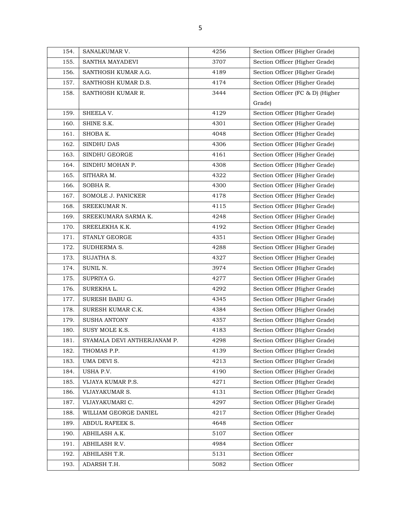| 154. | SANALKUMAR V.               | 4256 | Section Officer (Higher Grade)   |
|------|-----------------------------|------|----------------------------------|
| 155. | SANTHA MAYADEVI             | 3707 | Section Officer (Higher Grade)   |
| 156. | SANTHOSH KUMAR A.G.         | 4189 | Section Officer (Higher Grade)   |
| 157. | SANTHOSH KUMAR D.S.         | 4174 | Section Officer (Higher Grade)   |
| 158. | SANTHOSH KUMAR R.           | 3444 | Section Officer (FC & D) (Higher |
|      |                             |      | Grade)                           |
| 159. | SHEELA V.                   | 4129 | Section Officer (Higher Grade)   |
| 160. | SHINE S.K.                  | 4301 | Section Officer (Higher Grade)   |
| 161. | SHOBA K.                    | 4048 | Section Officer (Higher Grade)   |
| 162. | SINDHU DAS                  | 4306 | Section Officer (Higher Grade)   |
| 163. | SINDHU GEORGE               | 4161 | Section Officer (Higher Grade)   |
| 164. | SINDHU MOHAN P.             | 4308 | Section Officer (Higher Grade)   |
| 165. | SITHARA M.                  | 4322 | Section Officer (Higher Grade)   |
| 166. | SOBHA R.                    | 4300 | Section Officer (Higher Grade)   |
| 167. | SOMOLE J. PANICKER          | 4178 | Section Officer (Higher Grade)   |
| 168. | SREEKUMAR N.                | 4115 | Section Officer (Higher Grade)   |
| 169. | SREEKUMARA SARMA K.         | 4248 | Section Officer (Higher Grade)   |
| 170. | SREELEKHA K.K.              | 4192 | Section Officer (Higher Grade)   |
| 171. | <b>STANLY GEORGE</b>        | 4351 | Section Officer (Higher Grade)   |
| 172. | SUDHERMA S.                 | 4288 | Section Officer (Higher Grade)   |
| 173. | SUJATHA S.                  | 4327 | Section Officer (Higher Grade)   |
| 174. | SUNIL N.                    | 3974 | Section Officer (Higher Grade)   |
| 175. | SUPRIYA G.                  | 4277 | Section Officer (Higher Grade)   |
| 176. | SUREKHA L.                  | 4292 | Section Officer (Higher Grade)   |
| 177. | SURESH BABU G.              | 4345 | Section Officer (Higher Grade)   |
| 178. | SURESH KUMAR C.K.           | 4384 | Section Officer (Higher Grade)   |
| 179. | <b>SUSHA ANTONY</b>         | 4357 | Section Officer (Higher Grade)   |
| 180. | SUSY MOLE K.S.              | 4183 | Section Officer (Higher Grade)   |
| 181. | SYAMALA DEVI ANTHERJANAM P. | 4298 | Section Officer (Higher Grade)   |
| 182. | THOMAS P.P.                 | 4139 | Section Officer (Higher Grade)   |
| 183. | UMA DEVI S.                 | 4213 | Section Officer (Higher Grade)   |
| 184. | USHA P.V.                   | 4190 | Section Officer (Higher Grade)   |
| 185. | VIJAYA KUMAR P.S.           | 4271 | Section Officer (Higher Grade)   |
| 186. | VIJAYAKUMAR S.              | 4131 | Section Officer (Higher Grade)   |
| 187. | VIJAYAKUMARI C.             | 4297 | Section Officer (Higher Grade)   |
| 188. | WILLIAM GEORGE DANIEL       | 4217 | Section Officer (Higher Grade)   |
| 189. | ABDUL RAFEEK S.             | 4648 | Section Officer                  |
| 190. | ABHILASH A.K.               | 5107 | Section Officer                  |
| 191. | ABHILASH R.V.               | 4984 | Section Officer                  |
| 192. | ABHILASH T.R.               | 5131 | Section Officer                  |
| 193. | ADARSH T.H.                 | 5082 | Section Officer                  |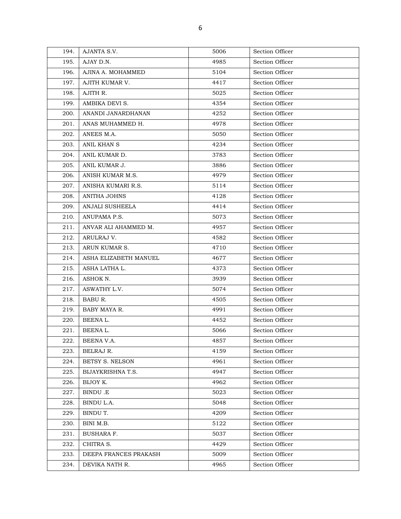| 194. | AJANTA S.V.           | 5006 | Section Officer |
|------|-----------------------|------|-----------------|
| 195. | AJAY D.N.             | 4985 | Section Officer |
| 196. | AJINA A. MOHAMMED     | 5104 | Section Officer |
| 197. | AJITH KUMAR V.        | 4417 | Section Officer |
| 198. | AJITH R.              | 5025 | Section Officer |
| 199. | AMBIKA DEVI S.        | 4354 | Section Officer |
| 200. | ANANDI JANARDHANAN    | 4252 | Section Officer |
| 201. | ANAS MUHAMMED H.      | 4978 | Section Officer |
| 202. | ANEES M.A.            | 5050 | Section Officer |
| 203. | ANIL KHAN S           | 4234 | Section Officer |
| 204. | ANIL KUMAR D.         | 3783 | Section Officer |
| 205. | ANIL KUMAR J.         | 3886 | Section Officer |
| 206. | ANISH KUMAR M.S.      | 4979 | Section Officer |
| 207. | ANISHA KUMARI R.S.    | 5114 | Section Officer |
| 208. | <b>ANITHA JOHNS</b>   | 4128 | Section Officer |
| 209. | ANJALI SUSHEELA       | 4414 | Section Officer |
| 210. | ANUPAMA P.S.          | 5073 | Section Officer |
| 211. | ANVAR ALI AHAMMED M.  | 4957 | Section Officer |
| 212. | ARULRAJ V.            | 4582 | Section Officer |
| 213. | ARUN KUMAR S.         | 4710 | Section Officer |
| 214. | ASHA ELIZABETH MANUEL | 4677 | Section Officer |
| 215. | ASHA LATHA L.         | 4373 | Section Officer |
| 216. | ASHOK N.              | 3939 | Section Officer |
| 217. | ASWATHY L.V.          | 5074 | Section Officer |
| 218. | BABU R.               | 4505 | Section Officer |
| 219. | BABY MAYA R.          | 4991 | Section Officer |
| 220. | BEENAL.               | 4452 | Section Officer |
| 221. | BEENAL.               | 5066 | Section Officer |
| 222. | BEENA V.A.            | 4857 | Section Officer |
| 223. | BELRAJ R.             | 4159 | Section Officer |
| 224. | BETSY S. NELSON       | 4961 | Section Officer |
| 225. | BIJAYKRISHNA T.S.     | 4947 | Section Officer |
| 226. | BIJOY K.              | 4962 | Section Officer |
| 227. | BINDU.E               | 5023 | Section Officer |
| 228. | BINDU L.A.            | 5048 | Section Officer |
| 229. | BINDU T.              | 4209 | Section Officer |
| 230. | BINI M.B.             | 5122 | Section Officer |
| 231. | <b>BUSHARA F.</b>     | 5037 | Section Officer |
| 232. | CHITRA S.             | 4429 | Section Officer |
| 233. | DEEPA FRANCES PRAKASH | 5009 | Section Officer |
| 234. | DEVIKA NATH R.        | 4965 | Section Officer |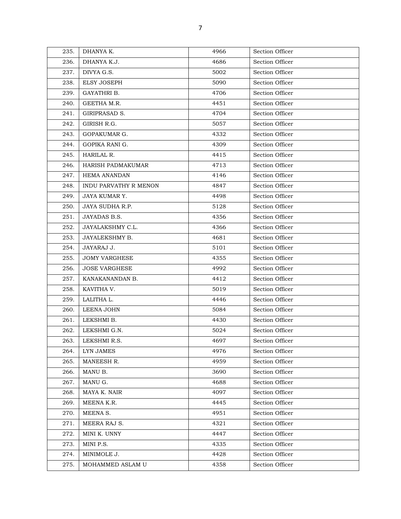| 235. | DHANYA K.                    | 4966 | Section Officer |
|------|------------------------------|------|-----------------|
| 236. | DHANYA K.J.                  | 4686 | Section Officer |
| 237. | DIVYA G.S.                   | 5002 | Section Officer |
| 238. | <b>ELSY JOSEPH</b>           | 5090 | Section Officer |
| 239. | GAYATHRI B.                  | 4706 | Section Officer |
| 240. | GEETHA M.R.                  | 4451 | Section Officer |
| 241. | GIRIPRASAD S.                | 4704 | Section Officer |
| 242. | GIRISH R.G.                  | 5057 | Section Officer |
| 243. | GOPAKUMAR G.                 | 4332 | Section Officer |
| 244. | GOPIKA RANI G.               | 4309 | Section Officer |
| 245. | HARILAL R.                   | 4415 | Section Officer |
| 246. | HARISH PADMAKUMAR            | 4713 | Section Officer |
| 247. | <b>HEMA ANANDAN</b>          | 4146 | Section Officer |
| 248. | <b>INDU PARVATHY R MENON</b> | 4847 | Section Officer |
| 249. | JAYA KUMAR Y.                | 4498 | Section Officer |
| 250. | JAYA SUDHA R.P.              | 5128 | Section Officer |
| 251. | JAYADAS B.S.                 | 4356 | Section Officer |
| 252. | JAYALAKSHMY C.L.             | 4366 | Section Officer |
| 253. | JAYALEKSHMY B.               | 4681 | Section Officer |
| 254. | JAYARAJ J.                   | 5101 | Section Officer |
| 255. | <b>JOMY VARGHESE</b>         | 4355 | Section Officer |
| 256. | <b>JOSE VARGHESE</b>         | 4992 | Section Officer |
| 257. | KANAKANANDAN B.              | 4412 | Section Officer |
| 258. | KAVITHA V.                   | 5019 | Section Officer |
| 259. | LALITHA L.                   | 4446 | Section Officer |
| 260. | LEENA JOHN                   | 5084 | Section Officer |
| 261. | LEKSHMI B.                   | 4430 | Section Officer |
| 262. | LEKSHMI G.N.                 | 5024 | Section Officer |
| 263. | LEKSHMI R.S.                 | 4697 | Section Officer |
| 264. | LYN JAMES                    | 4976 | Section Officer |
| 265. | MANEESH R.                   | 4959 | Section Officer |
| 266. | MANU B.                      | 3690 | Section Officer |
| 267. | MANU G.                      | 4688 | Section Officer |
| 268. | MAYA K. NAIR                 | 4097 | Section Officer |
| 269. | MEENA K.R.                   | 4445 | Section Officer |
| 270. | MEENA S.                     | 4951 | Section Officer |
| 271. | MEERA RAJ S.                 | 4321 | Section Officer |
| 272. | MINI K. UNNY                 | 4447 | Section Officer |
| 273. | MINI P.S.                    | 4335 | Section Officer |
| 274. | MINIMOLE J.                  | 4428 | Section Officer |
| 275. | MOHAMMED ASLAM U             | 4358 | Section Officer |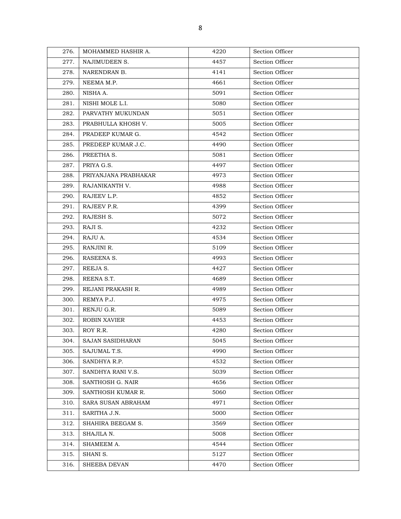| 276. | MOHAMMED HASHIR A.   | 4220 | Section Officer |
|------|----------------------|------|-----------------|
| 277. | NAJIMUDEEN S.        | 4457 | Section Officer |
| 278. | NARENDRAN B.         | 4141 | Section Officer |
| 279. | NEEMA M.P.           | 4661 | Section Officer |
| 280. | NISHA A.             | 5091 | Section Officer |
| 281. | NISHI MOLE L.I.      | 5080 | Section Officer |
| 282. | PARVATHY MUKUNDAN    | 5051 | Section Officer |
| 283. | PRABHULLA KHOSH V.   | 5005 | Section Officer |
| 284. | PRADEEP KUMAR G.     | 4542 | Section Officer |
| 285. | PREDEEP KUMAR J.C.   | 4490 | Section Officer |
| 286. | PREETHA S.           | 5081 | Section Officer |
| 287. | PRIYA G.S.           | 4497 | Section Officer |
| 288. | PRIYANJANA PRABHAKAR | 4973 | Section Officer |
| 289. | RAJANIKANTH V.       | 4988 | Section Officer |
| 290. | RAJEEV L.P.          | 4852 | Section Officer |
| 291. | RAJEEV P.R.          | 4399 | Section Officer |
| 292. | RAJESH S.            | 5072 | Section Officer |
| 293. | RAJI S.              | 4232 | Section Officer |
| 294. | RAJU A.              | 4534 | Section Officer |
| 295. | RANJINI R.           | 5109 | Section Officer |
| 296. | RASEENA S.           | 4993 | Section Officer |
| 297. | REEJA S.             | 4427 | Section Officer |
| 298. | REENA S.T.           | 4689 | Section Officer |
| 299. | REJANI PRAKASH R.    | 4989 | Section Officer |
| 300. | REMYA P.J.           | 4975 | Section Officer |
| 301. | RENJU G.R.           | 5089 | Section Officer |
| 302. | <b>ROBIN XAVIER</b>  | 4453 | Section Officer |
| 303. | ROY R.R.             | 4280 | Section Officer |
| 304. | SAJAN SASIDHARAN     | 5045 | Section Officer |
| 305. | SAJUMAL T.S.         | 4990 | Section Officer |
| 306. | SANDHYA R.P.         | 4532 | Section Officer |
| 307. | SANDHYA RANI V.S.    | 5039 | Section Officer |
| 308. | SANTHOSH G. NAIR     | 4656 | Section Officer |
| 309. | SANTHOSH KUMAR R.    | 5060 | Section Officer |
| 310. | SARA SUSAN ABRAHAM   | 4971 | Section Officer |
| 311. | SARITHA J.N.         | 5000 | Section Officer |
| 312. | SHAHIRA BEEGAM S.    | 3569 | Section Officer |
| 313. | SHAJILA N.           | 5008 | Section Officer |
| 314. | SHAMEEM A.           | 4544 | Section Officer |
| 315. | SHANI S.             | 5127 | Section Officer |
| 316. | SHEEBA DEVAN         | 4470 | Section Officer |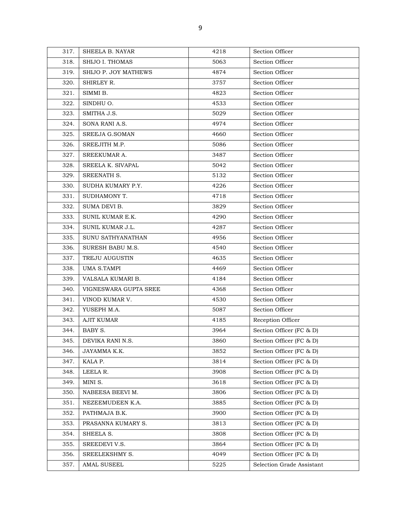| 317. | SHEELA B. NAYAR       | 4218 | Section Officer           |
|------|-----------------------|------|---------------------------|
| 318. | SHIJO I. THOMAS       | 5063 | Section Officer           |
| 319. | SHIJO P. JOY MATHEWS  | 4874 | Section Officer           |
| 320. | SHIRLEY R.            | 3757 | Section Officer           |
| 321. | SIMMI B.              | 4823 | Section Officer           |
| 322. | SINDHU O.             | 4533 | Section Officer           |
| 323. | SMITHA J.S.           | 5029 | Section Officer           |
| 324. | SONA RANI A.S.        | 4974 | Section Officer           |
| 325. | SREEJA G.SOMAN        | 4660 | Section Officer           |
| 326. | SREEJITH M.P.         | 5086 | Section Officer           |
| 327. | SREEKUMAR A.          | 3487 | Section Officer           |
| 328. | SREELA K. SIVAPAL     | 5042 | Section Officer           |
| 329. | SREENATH S.           | 5132 | Section Officer           |
| 330. | SUDHA KUMARY P.Y.     | 4226 | Section Officer           |
| 331. | SUDHAMONY T.          | 4718 | Section Officer           |
| 332. | SUMA DEVI B.          | 3829 | Section Officer           |
| 333. | SUNIL KUMAR E.K.      | 4290 | Section Officer           |
| 334. | SUNIL KUMAR J.L.      | 4287 | Section Officer           |
| 335. | SUNU SATHYANATHAN     | 4956 | Section Officer           |
| 336. | SURESH BABU M.S.      | 4540 | Section Officer           |
| 337. | TREJU AUGUSTIN        | 4635 | Section Officer           |
| 338. | <b>UMA S.TAMPI</b>    | 4469 | Section Officer           |
| 339. | VALSALA KUMARI B.     | 4184 | Section Officer           |
| 340. | VIGNESWARA GUPTA SREE | 4368 | Section Officer           |
| 341. | VINOD KUMAR V.        | 4530 | Section Officer           |
| 342. | YUSEPH M.A.           | 5087 | Section Officer           |
| 343. | <b>AJIT KUMAR</b>     | 4185 | Reception Officer         |
| 344. | BABY S.               | 3964 | Section Officer (FC & D)  |
| 345. | DEVIKA RANI N.S.      | 3860 | Section Officer (FC & D)  |
| 346. | JAYAMMA K.K.          | 3852 | Section Officer (FC & D)  |
| 347. | KALA P.               | 3814 | Section Officer (FC & D)  |
| 348. | LEELA R.              | 3908 | Section Officer (FC & D)  |
| 349. | MINI S.               | 3618 | Section Officer (FC & D)  |
| 350. | NABEESA BEEVI M.      | 3806 | Section Officer (FC & D)  |
| 351. | NEZEEMUDEEN K.A.      | 3885 | Section Officer (FC & D)  |
| 352. | PATHMAJA B.K.         | 3900 | Section Officer (FC & D)  |
| 353. | PRASANNA KUMARY S.    | 3813 | Section Officer (FC & D)  |
| 354. | SHEELA S.             | 3808 | Section Officer (FC & D)  |
| 355. | SREEDEVI V.S.         | 3864 | Section Officer (FC & D)  |
| 356. | SREELEKSHMY S.        | 4049 | Section Officer (FC & D)  |
| 357. | <b>AMAL SUSEEL</b>    | 5225 | Selection Grade Assistant |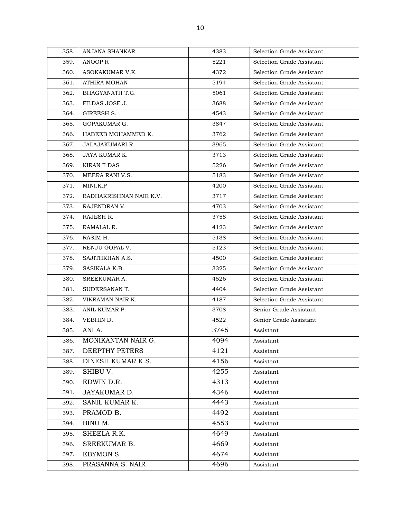| 358. | ANJANA SHANKAR          | 4383 | Selection Grade Assistant |
|------|-------------------------|------|---------------------------|
| 359. | ANOOP R                 | 5221 | Selection Grade Assistant |
| 360. | ASOKAKUMAR V.K.         | 4372 | Selection Grade Assistant |
| 361. | <b>ATHIRA MOHAN</b>     | 5194 | Selection Grade Assistant |
| 362. | BHAGYANATH T.G.         | 5061 | Selection Grade Assistant |
| 363. | FILDAS JOSE J.          | 3688 | Selection Grade Assistant |
| 364. | GIREESH S.              | 4543 | Selection Grade Assistant |
| 365. | GOPAKUMAR G.            | 3847 | Selection Grade Assistant |
| 366. | HABEEB MOHAMMED K.      | 3762 | Selection Grade Assistant |
| 367. | <b>JALAJAKUMARI R.</b>  | 3965 | Selection Grade Assistant |
| 368. | JAYA KUMAR K.           | 3713 | Selection Grade Assistant |
| 369. | <b>KIRAN T DAS</b>      | 5226 | Selection Grade Assistant |
| 370. | MEERA RANI V.S.         | 5183 | Selection Grade Assistant |
| 371. | MINI.K.P                | 4200 | Selection Grade Assistant |
| 372. | RADHAKRISHNAN NAIR K.V. | 3717 | Selection Grade Assistant |
| 373. | RAJENDRAN V.            | 4703 | Selection Grade Assistant |
| 374. | RAJESH R.               | 3758 | Selection Grade Assistant |
| 375. | RAMALAL R.              | 4123 | Selection Grade Assistant |
| 376. | RASIM H.                | 5138 | Selection Grade Assistant |
| 377. | RENJU GOPAL V.          | 5123 | Selection Grade Assistant |
| 378. | SAJITHKHAN A.S.         | 4500 | Selection Grade Assistant |
| 379. | SASIKALA K.B.           | 3325 | Selection Grade Assistant |
| 380. | SREEKUMAR A.            | 4526 | Selection Grade Assistant |
| 381. | SUDERSANAN T.           | 4404 | Selection Grade Assistant |
| 382. | VIKRAMAN NAIR K.        | 4187 | Selection Grade Assistant |
| 383. | ANIL KUMAR P.           | 3708 | Senior Grade Assistant    |
| 384. | VEBHIN D.               | 4522 | Senior Grade Assistant    |
| 385. | ANI A.                  | 3745 | Assistant                 |
| 386. | MONIKANTAN NAIR G.      | 4094 | Assistant                 |
| 387. | DEEPTHY PETERS          | 4121 | Assistant                 |
| 388. | DINESH KUMAR K.S.       | 4156 | Assistant                 |
| 389. | SHIBU V.                | 4255 | Assistant                 |
| 390. | EDWIN D.R.              | 4313 | Assistant                 |
| 391. | JAYAKUMAR D.            | 4346 | Assistant                 |
| 392. | SANIL KUMAR K.          | 4443 | Assistant                 |
| 393. | PRAMOD B.               | 4492 | Assistant                 |
| 394. | BINU M.                 | 4553 | Assistant                 |
| 395. | SHEELA R.K.             | 4649 | Assistant                 |
| 396. | SREEKUMAR B.            | 4669 | Assistant                 |
| 397. | EBYMON S.               | 4674 | Assistant                 |
| 398. | PRASANNA S. NAIR        | 4696 | Assistant                 |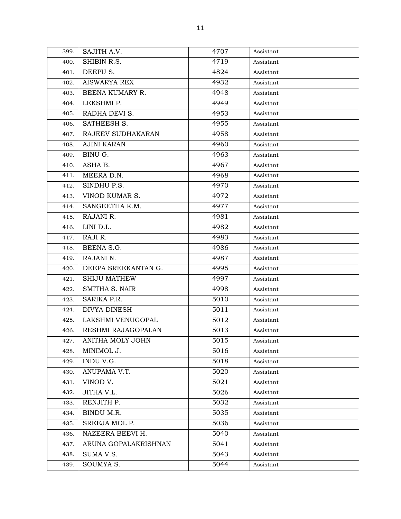| 399. | SAJITH A.V.           | 4707 | Assistant |
|------|-----------------------|------|-----------|
| 400. | SHIBIN R.S.           | 4719 | Assistant |
| 401. | DEEPU S.              | 4824 | Assistant |
| 402. | <b>AISWARYA REX</b>   | 4932 | Assistant |
| 403. | BEENA KUMARY R.       | 4948 | Assistant |
| 404. | LEKSHMI P.            | 4949 | Assistant |
| 405. | RADHA DEVI S.         | 4953 | Assistant |
| 406. | SATHEESH S.           | 4955 | Assistant |
| 407. | RAJEEV SUDHAKARAN     | 4958 | Assistant |
| 408. | <b>AJINI KARAN</b>    | 4960 | Assistant |
| 409. | BINU G.               | 4963 | Assistant |
| 410. | ASHA B.               | 4967 | Assistant |
| 411. | MEERA D.N.            | 4968 | Assistant |
| 412. | SINDHU P.S.           | 4970 | Assistant |
| 413. | VINOD KUMAR S.        | 4972 | Assistant |
| 414. | SANGEETHA K.M.        | 4977 | Assistant |
| 415. | RAJANI R.             | 4981 | Assistant |
| 416. | LINI D.L.             | 4982 | Assistant |
| 417. | RAJI R.               | 4983 | Assistant |
| 418. | BEENA S.G.            | 4986 | Assistant |
| 419. | RAJANI N.             | 4987 | Assistant |
| 420. | DEEPA SREEKANTAN G.   | 4995 | Assistant |
| 421. | <b>SHIJU MATHEW</b>   | 4997 | Assistant |
| 422. | SMITHA S. NAIR        | 4998 | Assistant |
| 423. | SARIKA P.R.           | 5010 | Assistant |
| 424. | DIVYA DINESH          | 5011 | Assistant |
| 425. | LAKSHMI VENUGOPAL     | 5012 | Assistant |
| 426. | RESHMI RAJAGOPALAN    | 5013 | Assistant |
|      | 427. ANITHA MOLY JOHN | 5015 | Assistant |
| 428. | MINIMOL J.            | 5016 | Assistant |
| 429. | INDU V.G.             | 5018 | Assistant |
| 430. | ANUPAMA V.T.          | 5020 | Assistant |
| 431. | VINOD V.              | 5021 | Assistant |
| 432. | JITHA V.L.            | 5026 | Assistant |
| 433. | RENJITH P.            | 5032 | Assistant |
| 434. | BINDU M.R.            | 5035 | Assistant |
| 435. | SREEJA MOL P.         | 5036 | Assistant |
| 436. | NAZEERA BEEVI H.      | 5040 | Assistant |
| 437. | ARUNA GOPALAKRISHNAN  | 5041 | Assistant |
| 438. | SUMA V.S.             | 5043 | Assistant |
| 439. | SOUMYA S.             | 5044 | Assistant |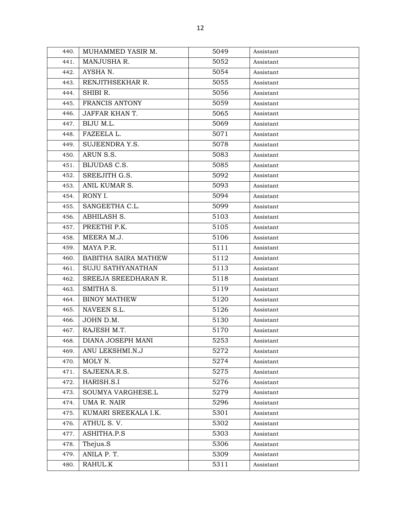| 440. | MUHAMMED YASIR M.    | 5049 | Assistant |
|------|----------------------|------|-----------|
| 441. | MANJUSHA R.          | 5052 | Assistant |
| 442. | AYSHA N.             | 5054 | Assistant |
| 443. | RENJITHSEKHAR R.     | 5055 | Assistant |
| 444. | SHIBI R.             | 5056 | Assistant |
| 445. | FRANCIS ANTONY       | 5059 | Assistant |
| 446. | JAFFAR KHAN T.       | 5065 | Assistant |
| 447. | BIJU M.L.            | 5069 | Assistant |
| 448. | FAZEELA L.           | 5071 | Assistant |
| 449. | SUJEENDRA Y.S.       | 5078 | Assistant |
| 450. | ARUN S.S.            | 5083 | Assistant |
| 451. | <b>BIJUDAS C.S.</b>  | 5085 | Assistant |
| 452. | SREEJITH G.S.        | 5092 | Assistant |
| 453. | ANIL KUMAR S.        | 5093 | Assistant |
| 454. | RONY I.              | 5094 | Assistant |
| 455. | SANGEETHA C.L.       | 5099 | Assistant |
| 456. | ABHILASH S.          | 5103 | Assistant |
| 457. | PREETHI P.K.         | 5105 | Assistant |
| 458. | MEERA M.J.           | 5106 | Assistant |
| 459. | MAYA P.R.            | 5111 | Assistant |
| 460. | BABITHA SAIRA MATHEW | 5112 | Assistant |
| 461. | SUJU SATHYANATHAN    | 5113 | Assistant |
| 462. | SREEJA SREEDHARAN R. | 5118 | Assistant |
| 463. | SMITHA S.            | 5119 | Assistant |
| 464. | <b>BINOY MATHEW</b>  | 5120 | Assistant |
| 465. | NAVEEN S.L.          | 5126 | Assistant |
| 466. | JOHN D.M.            | 5130 | Assistant |
| 467. | RAJESH M.T.          | 5170 | Assistant |
| 468. | DIANA JOSEPH MANI    | 5253 | Assistant |
| 469. | ANU LEKSHMI.N.J      | 5272 | Assistant |
| 470. | MOLY N.              | 5274 | Assistant |
| 471. | SAJEENA.R.S.         | 5275 | Assistant |
| 472. | HARISH.S.I           | 5276 | Assistant |
| 473. | SOUMYA VARGHESE.L    | 5279 | Assistant |
| 474. | UMA R. NAIR          | 5296 | Assistant |
| 475. | KUMARI SREEKALA I.K. | 5301 | Assistant |
| 476. | ATHUL S.V.           | 5302 | Assistant |
| 477. | ASHITHA.P.S          | 5303 | Assistant |
| 478. | Thejus.S             | 5306 | Assistant |
| 479. | ANILA P.T.           | 5309 | Assistant |
| 480. | RAHUL.K              | 5311 | Assistant |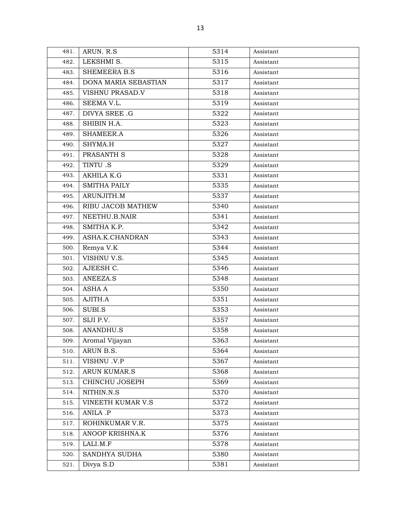| 481. | ARUN. R.S            | 5314 | Assistant |
|------|----------------------|------|-----------|
| 482. | LEKSHMI S.           | 5315 | Assistant |
| 483. | SHEMEERA B.S         | 5316 | Assistant |
| 484. | DONA MARIA SEBASTIAN | 5317 | Assistant |
| 485. | VISHNU PRASAD.V      | 5318 | Assistant |
| 486. | SEEMA V.L.           | 5319 | Assistant |
| 487. | DIVYA SREE .G        | 5322 | Assistant |
| 488. | SHIBIN H.A.          | 5323 | Assistant |
| 489. | SHAMEER.A            | 5326 | Assistant |
| 490. | SHYMA.H              | 5327 | Assistant |
| 491. | PRASANTH S           | 5328 | Assistant |
| 492. | TINTU .S             | 5329 | Assistant |
| 493. | AKHILA K.G           | 5331 | Assistant |
| 494. | <b>SMITHA PAILY</b>  | 5335 | Assistant |
| 495. | ARUNJITH.M           | 5337 | Assistant |
| 496. | RIBU JACOB MATHEW    | 5340 | Assistant |
| 497. | NEETHU.B.NAIR        | 5341 | Assistant |
| 498. | SMITHA K.P.          | 5342 | Assistant |
| 499. | ASHA.K.CHANDRAN      | 5343 | Assistant |
| 500. | Remya V.K            | 5344 | Assistant |
| 501. | VISHNU V.S.          | 5345 | Assistant |
| 502. | AJEESH C.            | 5346 | Assistant |
| 503. | ANEEZA.S             | 5348 | Assistant |
| 504. | ASHA A               | 5350 | Assistant |
| 505. | AJITH.A              | 5351 | Assistant |
| 506. | SUBI.S               | 5353 | Assistant |
| 507. | SIJI P.V.            | 5357 | Assistant |
| 508. | ANANDHU.S            | 5358 | Assistant |
| 509. | Aromal Vijayan       | 5363 | Assistant |
| 510. | ARUN B.S.            | 5364 | Assistant |
| 511. | VISHNU .V.P          | 5367 | Assistant |
| 512. | <b>ARUN KUMAR.S</b>  | 5368 | Assistant |
| 513. | CHINCHU JOSEPH       | 5369 | Assistant |
| 514. | NITHIN.N.S           | 5370 | Assistant |
| 515. | VINEETH KUMAR V.S    | 5372 | Assistant |
| 516. | ANILA .P             | 5373 | Assistant |
| 517. | ROHINKUMAR V.R.      | 5375 | Assistant |
| 518. | ANOOP KRISHNA.K      | 5376 | Assistant |
| 519. | LALI.M.F             | 5378 | Assistant |
| 520. | SANDHYA SUDHA        | 5380 | Assistant |
| 521. | Divya S.D            | 5381 | Assistant |
|      |                      |      |           |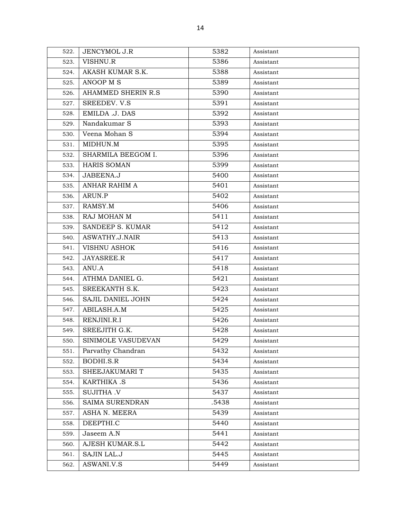| 522. | JENCYMOL J.R        | 5382  | Assistant |
|------|---------------------|-------|-----------|
| 523. | VISHNU.R            | 5386  | Assistant |
| 524. | AKASH KUMAR S.K.    | 5388  | Assistant |
| 525. | ANOOP M S           | 5389  | Assistant |
| 526. | AHAMMED SHERIN R.S. | 5390  | Assistant |
| 527. | SREEDEV. V.S        | 5391  | Assistant |
| 528. | EMILDA .J. DAS      | 5392  | Assistant |
| 529. | Nandakumar S        | 5393  | Assistant |
| 530. | Veena Mohan S       | 5394  | Assistant |
| 531. | MIDHUN.M            | 5395  | Assistant |
| 532. | SHARMILA BEEGOM I.  | 5396  | Assistant |
| 533. | HARIS SOMAN         | 5399  | Assistant |
| 534. | JABEENA.J           | 5400  | Assistant |
| 535. | ANHAR RAHIM A       | 5401  | Assistant |
| 536. | ARUN.P              | 5402  | Assistant |
| 537. | RAMSY.M             | 5406  | Assistant |
| 538. | RAJ MOHAN M         | 5411  | Assistant |
| 539. | SANDEEP S. KUMAR    | 5412  | Assistant |
| 540. | ASWATHY.J.NAIR      | 5413  | Assistant |
| 541. | <b>VISHNU ASHOK</b> | 5416  | Assistant |
| 542. | JAYASREE.R          | 5417  | Assistant |
| 543. | ANU.A               | 5418  | Assistant |
| 544. | ATHMA DANIEL G.     | 5421  | Assistant |
| 545. | SREEKANTH S.K.      | 5423  | Assistant |
| 546. | SAJIL DANIEL JOHN   | 5424  | Assistant |
| 547. | ABILASH.A.M         | 5425  | Assistant |
| 548. | RENJINI.R.I         | 5426  | Assistant |
| 549. | SREEJITH G.K.       | 5428  | Assistant |
| 550. | SINIMOLE VASUDEVAN  | 5429  | Assistant |
| 551. | Parvathy Chandran   | 5432  | Assistant |
| 552. | BODHI.S.R           | 5434  | Assistant |
| 553. | SHEEJAKUMARI T      | 5435  | Assistant |
| 554. | KARTHIKA .S         | 5436  | Assistant |
| 555. | <b>SUJITHA .V</b>   | 5437  | Assistant |
| 556. | SAIMA SURENDRAN     | .5438 | Assistant |
| 557. | ASHA N. MEERA       | 5439  | Assistant |
| 558. | DEEPTHI.C           | 5440  | Assistant |
| 559. | Jaseem A.N          | 5441  | Assistant |
| 560. | AJESH KUMAR.S.L     | 5442  | Assistant |
| 561. | SAJIN LAL.J         | 5445  | Assistant |
| 562. | ASWANI.V.S          | 5449  | Assistant |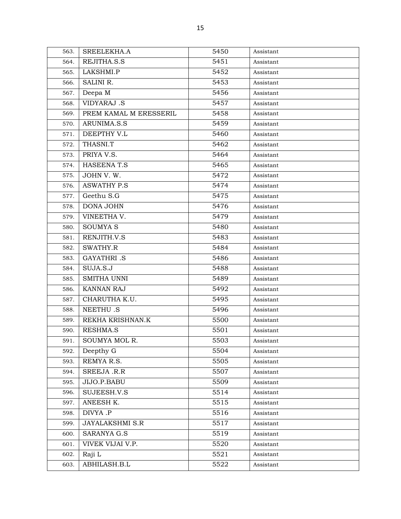| 563. | SREELEKHA.A            | 5450 | Assistant |
|------|------------------------|------|-----------|
| 564. | REJITHA.S.S            | 5451 | Assistant |
| 565. | LAKSHMI.P              | 5452 | Assistant |
| 566. | SALINI R.              | 5453 | Assistant |
| 567. | Deepa M                | 5456 | Assistant |
| 568. | VIDYARAJ .S            | 5457 | Assistant |
| 569. | PREM KAMAL M ERESSERIL | 5458 | Assistant |
| 570. | ARUNIMA.S.S            | 5459 | Assistant |
| 571. | DEEPTHY V.L            | 5460 | Assistant |
| 572. | THASNI.T               | 5462 | Assistant |
| 573. | PRIYA V.S.             | 5464 | Assistant |
| 574. | <b>HASEENAT.S</b>      | 5465 | Assistant |
| 575. | JOHN V.W.              | 5472 | Assistant |
| 576. | <b>ASWATHY P.S</b>     | 5474 | Assistant |
| 577. | Geethu S.G             | 5475 | Assistant |
| 578. | DONA JOHN              | 5476 | Assistant |
| 579. | VINEETHA V.            | 5479 | Assistant |
| 580. | <b>SOUMYA S</b>        | 5480 | Assistant |
| 581. | RENJITH.V.S            | 5483 | Assistant |
| 582. | SWATHY.R               | 5484 | Assistant |
| 583. | <b>GAYATHRI</b> .S     | 5486 | Assistant |
| 584. | SUJA.S.J               | 5488 | Assistant |
| 585. | SMITHA UNNI            | 5489 | Assistant |
| 586. | KANNAN RAJ             | 5492 | Assistant |
| 587. | CHARUTHA K.U.          | 5495 | Assistant |
| 588. | <b>NEETHU.S</b>        | 5496 | Assistant |
| 589. | REKHA KRISHNAN.K       | 5500 | Assistant |
| 590. | <b>RESHMA.S</b>        | 5501 | Assistant |
| 591. | SOUMYA MOL R.          | 5503 | Assistant |
| 592. | Deepthy G              | 5504 | Assistant |
| 593. | REMYA R.S.             | 5505 | Assistant |
| 594. | SREEJA .R.R            | 5507 | Assistant |
| 595. | JIJO.P.BABU            | 5509 | Assistant |
| 596. | SUJEESH.V.S            | 5514 | Assistant |
| 597. | ANEESH K.              | 5515 | Assistant |
| 598. | DIVYA .P               | 5516 | Assistant |
| 599. | <b>JAYALAKSHMI S.R</b> | 5517 | Assistant |
| 600. | SARANYA G.S            | 5519 | Assistant |
| 601. | VIVEK VIJAI V.P.       | 5520 | Assistant |
| 602. | Raji L                 | 5521 | Assistant |
| 603. | ABHILASH.B.L           | 5522 | Assistant |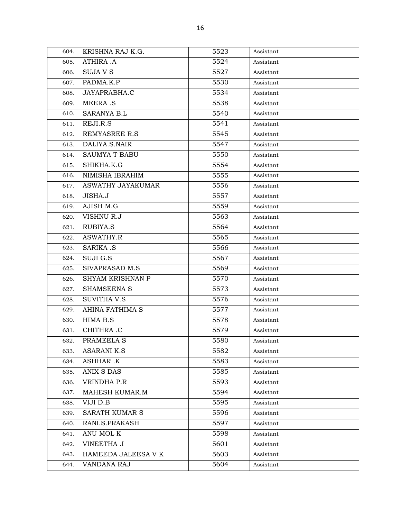| 604. | KRISHNA RAJ K.G.       | 5523 | Assistant |
|------|------------------------|------|-----------|
| 605. | ATHIRA .A              | 5524 | Assistant |
| 606. | SUJA V S               | 5527 | Assistant |
| 607. | PADMA.K.P              | 5530 | Assistant |
| 608. | JAYAPRABHA.C           | 5534 | Assistant |
| 609. | <b>MEERA .S</b>        | 5538 | Assistant |
| 610. | <b>SARANYA B.L</b>     | 5540 | Assistant |
| 611. | REJI.R.S               | 5541 | Assistant |
| 612. | REMYASREE R.S          | 5545 | Assistant |
| 613. | DALIYA.S.NAIR          | 5547 | Assistant |
| 614. | <b>SAUMYA T BABU</b>   | 5550 | Assistant |
| 615. | SHIKHA.K.G             | 5554 | Assistant |
| 616. | NIMISHA IBRAHIM        | 5555 | Assistant |
| 617. | ASWATHY JAYAKUMAR      | 5556 | Assistant |
| 618. | JISHA.J                | 5557 | Assistant |
| 619. | AJISH M.G              | 5559 | Assistant |
| 620. | VISHNU R.J             | 5563 | Assistant |
| 621. | RUBIYA.S               | 5564 | Assistant |
| 622. | ASWATHY.R              | 5565 | Assistant |
| 623. | <b>SARIKA .S</b>       | 5566 | Assistant |
| 624. | SUJI G.S               | 5567 | Assistant |
| 625. | SIVAPRASAD M.S         | 5569 | Assistant |
| 626. | SHYAM KRISHNAN P       | 5570 | Assistant |
| 627. | SHAMSEENA S            | 5573 | Assistant |
| 628. | <b>SUVITHA V.S</b>     | 5576 | Assistant |
| 629. | <b>AHINA FATHIMA S</b> | 5577 | Assistant |
| 630. | HIMA B.S               | 5578 | Assistant |
| 631. | CHITHRA .C             | 5579 | Assistant |
| 632. | PRAMEELA S             | 5580 | Assistant |
| 633. | <b>ASARANI K.S</b>     | 5582 | Assistant |
| 634. | ASHHAR .K              | 5583 | Assistant |
| 635. | ANIX S DAS             | 5585 | Assistant |
| 636. | VRINDHA P.R            | 5593 | Assistant |
| 637. | MAHESH KUMAR.M         | 5594 | Assistant |
| 638. | VIJI D.B               | 5595 | Assistant |
| 639. | <b>SARATH KUMAR S</b>  | 5596 | Assistant |
| 640. | RANI.S.PRAKASH         | 5597 | Assistant |
| 641. | ANU MOL K              | 5598 | Assistant |
| 642. | <b>VINEETHA .I</b>     | 5601 | Assistant |
| 643. | HAMEEDA JALEESA V K    | 5603 | Assistant |
| 644. | VANDANA RAJ            | 5604 | Assistant |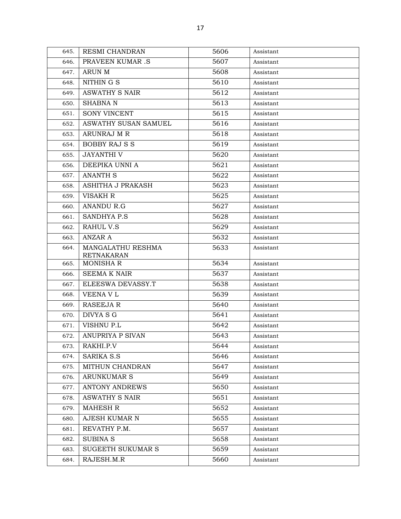| 645. | RESMI CHANDRAN                         | 5606 | Assistant |
|------|----------------------------------------|------|-----------|
| 646. | <b>PRAVEEN KUMAR.S</b>                 | 5607 | Assistant |
| 647. | ARUN M                                 | 5608 | Assistant |
| 648. | NITHIN G S                             | 5610 | Assistant |
| 649. | ASWATHY S NAIR                         | 5612 | Assistant |
| 650. | <b>SHABNA N</b>                        | 5613 | Assistant |
| 651. | <b>SONY VINCENT</b>                    | 5615 | Assistant |
| 652. | ASWATHY SUSAN SAMUEL                   | 5616 | Assistant |
| 653. | ARUNRAJ M R                            | 5618 | Assistant |
| 654. | <b>BOBBY RAJ S S</b>                   | 5619 | Assistant |
| 655. | <b>JAYANTHI V</b>                      | 5620 | Assistant |
| 656. | DEEPIKA UNNI A                         | 5621 | Assistant |
| 657. | <b>ANANTH S</b>                        | 5622 | Assistant |
| 658. | ASHITHA J PRAKASH                      | 5623 | Assistant |
| 659. | VISAKH R                               | 5625 | Assistant |
| 660. | <b>ANANDU R.G</b>                      | 5627 | Assistant |
| 661. | <b>SANDHYA P.S</b>                     | 5628 | Assistant |
| 662. | RAHUL V.S                              | 5629 | Assistant |
| 663. | ANZAR A                                | 5632 | Assistant |
| 664. | MANGALATHU RESHMA<br><b>RETNAKARAN</b> | 5633 | Assistant |
| 665. | <b>MONISHAR</b>                        | 5634 | Assistant |
| 666. | <b>SEEMA K NAIR</b>                    | 5637 | Assistant |
| 667. | ELEESWA DEVASSY.T                      | 5638 | Assistant |
| 668. | VEENA V L                              | 5639 | Assistant |
| 669. | <b>RASEEJA R</b>                       | 5640 | Assistant |
| 670. | DIVYA S G                              | 5641 | Assistant |
| 671. | VISHNU P.L                             | 5642 | Assistant |
| 672. | <b>ANUPRIYA P SIVAN</b>                | 5643 | Assistant |
| 673. | RAKHI.P.V                              | 5644 | Assistant |
| 674. | <b>SARIKA S.S</b>                      | 5646 | Assistant |
| 675. | MITHUN CHANDRAN                        | 5647 | Assistant |
| 676. | <b>ARUNKUMAR S</b>                     | 5649 | Assistant |
| 677. | <b>ANTONY ANDREWS</b>                  | 5650 | Assistant |
| 678. | <b>ASWATHY S NAIR</b>                  | 5651 | Assistant |
| 679. | <b>MAHESH R</b>                        | 5652 | Assistant |
| 680. | <b>AJESH KUMAR N</b>                   | 5655 | Assistant |
| 681. | REVATHY P.M.                           | 5657 | Assistant |
| 682. | <b>SUBINAS</b>                         | 5658 | Assistant |
| 683. | <b>SUGEETH SUKUMAR S</b>               | 5659 | Assistant |
| 684. | RAJESH.M.R                             | 5660 | Assistant |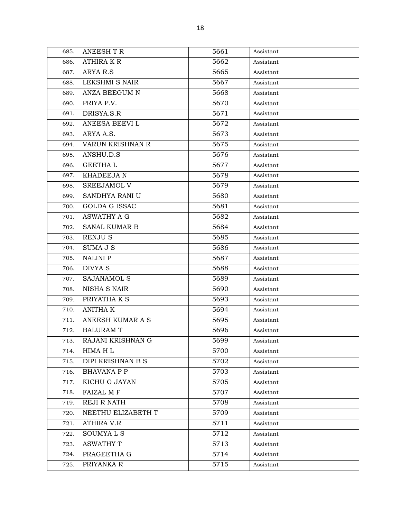| 685. | <b>ANEESH T R</b>        | 5661 | Assistant |
|------|--------------------------|------|-----------|
| 686. | <b>ATHIRA K R</b>        | 5662 | Assistant |
| 687. | ARYA R.S                 | 5665 | Assistant |
| 688. | LEKSHMI S NAIR           | 5667 | Assistant |
| 689. | ANZA BEEGUM N            | 5668 | Assistant |
| 690. | PRIYA P.V.               | 5670 | Assistant |
| 691. | DRISYA.S.R               | 5671 | Assistant |
| 692. | ANEESA BEEVI L           | 5672 | Assistant |
| 693. | ARYA A.S.                | 5673 | Assistant |
| 694. | VARUN KRISHNAN R         | 5675 | Assistant |
| 695. | ANSHU.D.S                | 5676 | Assistant |
| 696. | <b>GEETHAL</b>           | 5677 | Assistant |
| 697. | <b>KHADEEJAN</b>         | 5678 | Assistant |
| 698. | SREEJAMOL V              | 5679 | Assistant |
| 699. | SANDHYA RANI U           | 5680 | Assistant |
| 700. | <b>GOLDA G ISSAC</b>     | 5681 | Assistant |
| 701. | <b>ASWATHY A G</b>       | 5682 | Assistant |
| 702. | <b>SANAL KUMAR B</b>     | 5684 | Assistant |
| 703. | RENJU S                  | 5685 | Assistant |
| 704. | SUMA J S                 | 5686 | Assistant |
| 705. | NALINI P                 | 5687 | Assistant |
| 706. | DIVYA S                  | 5688 | Assistant |
| 707. | SAJANAMOL S              | 5689 | Assistant |
| 708. | NISHA S NAIR             | 5690 | Assistant |
| 709. | PRIYATHA K S             | 5693 | Assistant |
| 710. | <b>ANITHA K</b>          | 5694 | Assistant |
| 711. | ANEESH KUMAR A S         | 5695 | Assistant |
| 712. | <b>BALURAM T</b>         | 5696 | Assistant |
| 713. | <b>RAJANI KRISHNAN G</b> | 5699 | Assistant |
| 714. | HIMA H L                 | 5700 | Assistant |
| 715. | DIPI KRISHNAN B S        | 5702 | Assistant |
| 716. | <b>BHAVANA P P</b>       | 5703 | Assistant |
| 717. | KICHU G JAYAN            | 5705 | Assistant |
| 718. | <b>FAIZAL M F</b>        | 5707 | Assistant |
| 719. | REJI R NATH              | 5708 | Assistant |
| 720. | NEETHU ELIZABETH T       | 5709 | Assistant |
| 721. | <b>ATHIRA V.R</b>        | 5711 | Assistant |
| 722. | SOUMYA L S               | 5712 | Assistant |
| 723. | <b>ASWATHY T</b>         | 5713 | Assistant |
| 724. | PRAGEETHA G              | 5714 | Assistant |
| 725. | PRIYANKA R               | 5715 | Assistant |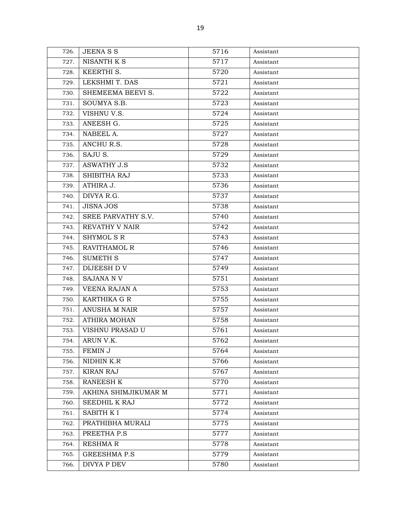| 726. | <b>JEENASS</b>       | 5716 | Assistant |
|------|----------------------|------|-----------|
| 727. | NISANTH K S          | 5717 | Assistant |
| 728. | KEERTHI S.           | 5720 | Assistant |
| 729. | LEKSHMI T. DAS       | 5721 | Assistant |
| 730. | SHEMEEMA BEEVI S.    | 5722 | Assistant |
| 731. | SOUMYA S.B.          | 5723 | Assistant |
| 732. | VISHNU V.S.          | 5724 | Assistant |
| 733. | ANEESH G.            | 5725 | Assistant |
| 734. | NABEEL A.            | 5727 | Assistant |
| 735. | ANCHU R.S.           | 5728 | Assistant |
| 736. | SAJU S.              | 5729 | Assistant |
| 737. | <b>ASWATHY J.S</b>   | 5732 | Assistant |
| 738. | SHIBITHA RAJ         | 5733 | Assistant |
| 739. | ATHIRA J.            | 5736 | Assistant |
| 740. | DIVYA R.G.           | 5737 | Assistant |
| 741. | <b>JISNA JOS</b>     | 5738 | Assistant |
| 742. | SREE PARVATHY S.V.   | 5740 | Assistant |
| 743. | REVATHY V NAIR       | 5742 | Assistant |
| 744. | SHYMOL SR            | 5743 | Assistant |
| 745. | <b>RAVITHAMOL R</b>  | 5746 | Assistant |
| 746. | <b>SUMETH S</b>      | 5747 | Assistant |
| 747. | DIJEESH D V          | 5749 | Assistant |
| 748. | <b>SAJANA NV</b>     | 5751 | Assistant |
| 749. | VEENA RAJAN A        | 5753 | Assistant |
| 750. | KARTHIKA G R         | 5755 | Assistant |
| 751. | ANUSHA M NAIR        | 5757 | Assistant |
| 752. | <b>ATHIRA MOHAN</b>  | 5758 | Assistant |
| 753. | VISHNU PRASAD U      | 5761 | Assistant |
| 754. | ARUN V.K.            | 5762 | Assistant |
| 755. | FEMIN J              | 5764 | Assistant |
| 756. | NIDHIN K.R           | 5766 | Assistant |
| 757. | <b>KIRAN RAJ</b>     | 5767 | Assistant |
| 758. | RANEESH K            | 5770 | Assistant |
| 759. | AKHINA SHIMJIKUMAR M | 5771 | Assistant |
| 760. | SEEDHIL K RAJ        | 5772 | Assistant |
| 761. | SABITH K I           | 5774 | Assistant |
| 762. | PRATHIBHA MURALI     | 5775 | Assistant |
| 763. | PREETHA P.S          | 5777 | Assistant |
| 764. | <b>RESHMAR</b>       | 5778 | Assistant |
| 765. | <b>GREESHMA P.S</b>  | 5779 | Assistant |
| 766. | DIVYA P DEV          | 5780 | Assistant |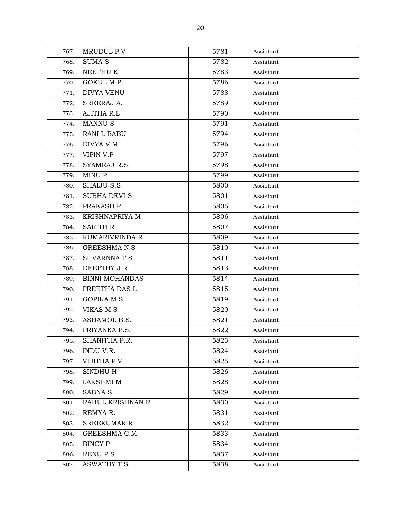| 767. | MRUDUL P.V            | 5781 | Assistant |
|------|-----------------------|------|-----------|
| 768. | <b>SUMA S</b>         | 5782 | Assistant |
| 769. | NEETHU K              | 5783 | Assistant |
| 770. | <b>GOKUL M.P</b>      | 5786 | Assistant |
| 771. | <b>DIVYA VENU</b>     | 5788 | Assistant |
| 772. | SREERAJ A.            | 5789 | Assistant |
| 773. | <b>AJITHA R.L</b>     | 5790 | Assistant |
| 774. | MANNU <sub>S</sub>    | 5791 | Assistant |
| 775. | <b>RANI L BABU</b>    | 5794 | Assistant |
| 776. | DIVYA V.M             | 5796 | Assistant |
| 777. | VIPIN V.P             | 5797 | Assistant |
| 778. | <b>SYAMRAJ R.S</b>    | 5798 | Assistant |
| 779. | MINU P                | 5799 | Assistant |
| 780. | SHAIJU S.S            | 5800 | Assistant |
| 781. | <b>SUBHA DEVI S</b>   | 5801 | Assistant |
| 782. | PRAKASH P             | 5805 | Assistant |
| 783. | KRISHNAPRIYA M        | 5806 | Assistant |
| 784. | <b>SARITH R</b>       | 5807 | Assistant |
| 785. | KUMARIVRINDA R        | 5809 | Assistant |
| 786. | <b>GREESHMAN.S</b>    | 5810 | Assistant |
| 787. | <b>SUVARNNAT.S</b>    | 5811 | Assistant |
| 788. | DEEPTHY JR            | 5813 | Assistant |
| 789. | <b>BINNI MOHANDAS</b> | 5814 | Assistant |
| 790. | PREETHA DAS L         | 5815 | Assistant |
| 791. | <b>GOPIKA M S</b>     | 5819 | Assistant |
| 792. | VIKAS M.S             | 5820 | Assistant |
| 793. | ASHAMOL B.S.          | 5821 | Assistant |
| 794. | PRIYANKA P.S.         | 5822 | Assistant |
| 795. | SHANITHA P.R.         | 5823 | Assistant |
| 796. | INDU V.R.             | 5824 | Assistant |
| 797. | VIJITHA P V           | 5825 | Assistant |
| 798. | SINDHU H.             | 5826 | Assistant |
| 799. | LAKSHMI M             | 5828 | Assistant |
| 800. | <b>SABNA S</b>        | 5829 | Assistant |
| 801. | RAHUL KRISHNAN R.     | 5830 | Assistant |
| 802. | REMYA R.              | 5831 | Assistant |
| 803. | <b>SREEKUMAR R</b>    | 5832 | Assistant |
| 804. | GREESHMA C.M          | 5833 | Assistant |
| 805. | <b>BINCY P</b>        | 5834 | Assistant |
| 806. | RENU P S              | 5837 | Assistant |
| 807. | <b>ASWATHY T S</b>    | 5838 | Assistant |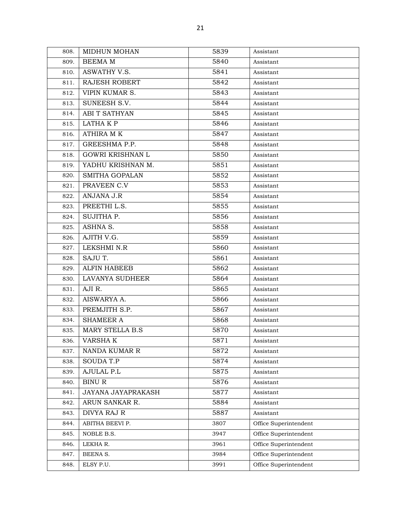| 808. | <b>MIDHUN MOHAN</b>     | 5839 | Assistant             |
|------|-------------------------|------|-----------------------|
| 809. | <b>BEEMA M</b>          | 5840 | Assistant             |
| 810. | ASWATHY V.S.            | 5841 | Assistant             |
| 811. | RAJESH ROBERT           | 5842 | Assistant             |
| 812. | VIPIN KUMAR S.          | 5843 | Assistant             |
| 813. | SUNEESH S.V.            | 5844 | Assistant             |
| 814. | ABI T SATHYAN           | 5845 | Assistant             |
| 815. | LATHA K P               | 5846 | Assistant             |
| 816. | <b>ATHIRA MK</b>        | 5847 | Assistant             |
| 817. | GREESHMA P.P.           | 5848 | Assistant             |
| 818. | <b>GOWRI KRISHNAN L</b> | 5850 | Assistant             |
| 819. | YADHU KRISHNAN M.       | 5851 | Assistant             |
| 820. | SMITHA GOPALAN          | 5852 | Assistant             |
| 821. | PRAVEEN C.V             | 5853 | Assistant             |
| 822. | ANJANA J.R              | 5854 | Assistant             |
| 823. | PREETHI L.S.            | 5855 | Assistant             |
| 824. | SUJITHA P.              | 5856 | Assistant             |
| 825. | ASHNA S.                | 5858 | Assistant             |
| 826. | AJITH V.G.              | 5859 | Assistant             |
| 827. | LEKSHMI N.R             | 5860 | Assistant             |
| 828. | SAJU T.                 | 5861 | Assistant             |
| 829. | <b>ALFIN HABEEB</b>     | 5862 | Assistant             |
| 830. | LAVANYA SUDHEER         | 5864 | Assistant             |
| 831. | AJI R.                  | 5865 | Assistant             |
| 832. | AISWARYA A.             | 5866 | Assistant             |
| 833. | PREMJITH S.P.           | 5867 | Assistant             |
| 834. | <b>SHAMEER A</b>        | 5868 | Assistant             |
| 835. | MARY STELLA B.S         | 5870 | Assistant             |
| 836. | VARSHA K                | 5871 | Assistant             |
| 837. | NANDA KUMAR R           | 5872 | Assistant             |
| 838. | <b>SOUDAT.P</b>         | 5874 | Assistant             |
| 839. | AJULAL P.L              | 5875 | Assistant             |
| 840. | <b>BINUR</b>            | 5876 | Assistant             |
| 841. | JAYANA JAYAPRAKASH      | 5877 | Assistant             |
| 842. | ARUN SANKAR R.          | 5884 | Assistant             |
| 843. | DIVYA RAJ R             | 5887 | Assistant             |
| 844. | ABITHA BEEVI P.         | 3807 | Office Superintendent |
| 845. | NOBLE B.S.              | 3947 | Office Superintendent |
| 846. | LEKHAR.                 | 3961 | Office Superintendent |
| 847. | BEENA S.                | 3984 | Office Superintendent |
| 848. | ELSY P.U.               | 3991 | Office Superintendent |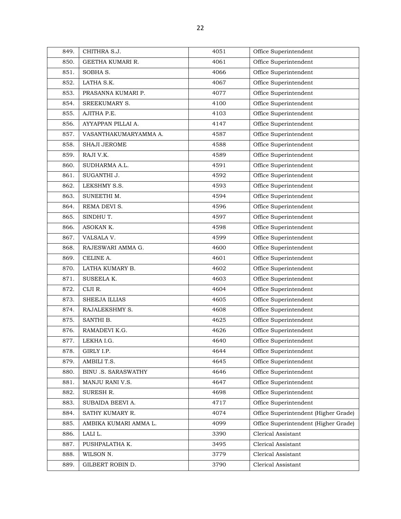| 849. | CHITHRA S.J.               | 4051 | Office Superintendent                |
|------|----------------------------|------|--------------------------------------|
| 850. | GEETHA KUMARI R.           | 4061 | Office Superintendent                |
| 851. | SOBHA S.                   | 4066 | Office Superintendent                |
| 852. | LATHA S.K.                 | 4067 | Office Superintendent                |
| 853. | PRASANNA KUMARI P.         | 4077 | Office Superintendent                |
| 854. | SREEKUMARY S.              | 4100 | Office Superintendent                |
| 855. | AJITHA P.E.                | 4103 | Office Superintendent                |
| 856. | AYYAPPAN PILLAI A.         | 4147 | Office Superintendent                |
| 857. | VASANTHAKUMARYAMMA A.      | 4587 | Office Superintendent                |
| 858. | <b>SHAJI JEROME</b>        | 4588 | Office Superintendent                |
| 859. | RAJI V.K.                  | 4589 | Office Superintendent                |
| 860. | SUDHARMA A.L.              | 4591 | Office Superintendent                |
| 861. | SUGANTHI J.                | 4592 | Office Superintendent                |
| 862. | LEKSHMY S.S.               | 4593 | Office Superintendent                |
| 863. | SUNEETHI M.                | 4594 | Office Superintendent                |
| 864. | REMA DEVI S.               | 4596 | Office Superintendent                |
| 865. | SINDHU T.                  | 4597 | Office Superintendent                |
| 866. | ASOKAN K.                  | 4598 | Office Superintendent                |
| 867. | VALSALA V.                 | 4599 | Office Superintendent                |
| 868. | RAJESWARI AMMA G.          | 4600 | Office Superintendent                |
| 869. | CELINE A.                  | 4601 | Office Superintendent                |
| 870. | LATHA KUMARY B.            | 4602 | Office Superintendent                |
| 871. | SUSEELA K.                 | 4603 | Office Superintendent                |
| 872. | CIJI R.                    | 4604 | Office Superintendent                |
| 873. | SHEEJA ILLIAS              | 4605 | Office Superintendent                |
| 874. | RAJALEKSHMY S.             | 4608 | Office Superintendent                |
| 875. | SANTHI B.                  | 4625 | Office Superintendent                |
| 876. | RAMADEVI K.G.              | 4626 | Office Superintendent                |
| 877. | LEKHA I.G.                 | 4640 | Office Superintendent                |
| 878. | GIRLY I.P.                 | 4644 | Office Superintendent                |
| 879. | AMBILI T.S.                | 4645 | Office Superintendent                |
| 880. | <b>BINU .S. SARASWATHY</b> | 4646 | Office Superintendent                |
| 881. | MANJU RANI V.S.            | 4647 | Office Superintendent                |
| 882. | SURESH R.                  | 4698 | Office Superintendent                |
| 883. | SUBAIDA BEEVI A.           | 4717 | Office Superintendent                |
| 884. | SATHY KUMARY R.            | 4074 | Office Superintendent (Higher Grade) |
| 885. | AMBIKA KUMARI AMMA L.      | 4099 | Office Superintendent (Higher Grade) |
| 886. | LALI L.                    | 3390 | Clerical Assistant                   |
| 887. | PUSHPALATHA K.             | 3495 | Clerical Assistant                   |
| 888. | WILSON N.                  | 3779 | Clerical Assistant                   |
| 889. | GILBERT ROBIN D.           | 3790 | Clerical Assistant                   |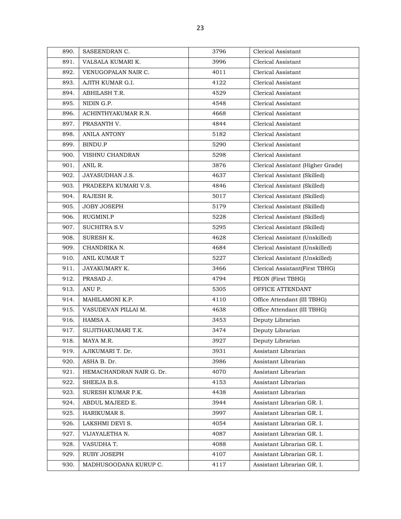| 890. | SASEENDRAN C.            | 3796 | Clerical Assistant                |
|------|--------------------------|------|-----------------------------------|
| 891. | VALSALA KUMARI K.        | 3996 | Clerical Assistant                |
| 892. | VENUGOPALAN NAIR C.      | 4011 | Clerical Assistant                |
| 893. | AJITH KUMAR G.I.         | 4122 | Clerical Assistant                |
| 894. | ABHILASH T.R.            | 4529 | Clerical Assistant                |
| 895. | NIDIN G.P.               | 4548 | Clerical Assistant                |
| 896. | ACHINTHYAKUMAR R.N.      | 4668 | Clerical Assistant                |
| 897. | PRASANTH V.              | 4844 | Clerical Assistant                |
| 898. | <b>ANILA ANTONY</b>      | 5182 | Clerical Assistant                |
| 899. | BINDU.P                  | 5290 | Clerical Assistant                |
| 900. | VISHNU CHANDRAN          | 5298 | Clerical Assistant                |
| 901. | ANIL R.                  | 3876 | Clerical Assistant (Higher Grade) |
| 902. | JAYASUDHAN J.S.          | 4637 | Clerical Assistant (Skilled)      |
| 903. | PRADEEPA KUMARI V.S.     | 4846 | Clerical Assistant (Skilled)      |
| 904. | RAJESH R.                | 5017 | Clerical Assistant (Skilled)      |
| 905. | <b>JOBY JOSEPH</b>       | 5179 | Clerical Assistant (Skilled)      |
| 906. | RUGMINI.P                | 5228 | Clerical Assistant (Skilled)      |
| 907. | <b>SUCHITRA S.V</b>      | 5295 | Clerical Assistant (Skilled)      |
| 908. | SURESH K.                | 4628 | Clerical Assistant (Unskilled)    |
| 909. | CHANDRIKA N.             | 4684 | Clerical Assistant (Unskilled)    |
| 910. | ANIL KUMAR T             | 5227 | Clerical Assistant (Unskilled)    |
| 911. | JAYAKUMARY K.            | 3466 | Clerical Assistant(First TBHG)    |
| 912. | PRASAD J.                | 4794 | PEON (First TBHG)                 |
| 913. | ANU P.                   | 5305 | OFFICE ATTENDANT                  |
| 914. | MAHILAMONI K.P.          | 4110 | Office Attendant (III TBHG)       |
| 915. | VASUDEVAN PILLAI M.      | 4638 | Office Attendant (III TBHG)       |
| 916. | HAMSA A.                 | 3453 | Deputy Librarian                  |
| 917. | SUJITHAKUMARI T.K.       | 3474 | Deputy Librarian                  |
| 918. | MAYA M.R.                | 3927 | Deputy Librarian                  |
| 919. | AJIKUMARI T. Dr.         | 3931 | Assistant Librarian               |
| 920. | ASHA B. Dr.              | 3986 | Assistant Librarian               |
| 921. | HEMACHANDRAN NAIR G. Dr. | 4070 | Assistant Librarian               |
| 922. | SHEEJA B.S.              | 4153 | Assistant Librarian               |
| 923. | SURESH KUMAR P.K.        | 4438 | Assistant Librarian               |
| 924. | ABDUL MAJEED E.          | 3944 | Assistant Librarian GR. I.        |
| 925. | HARIKUMAR S.             | 3997 | Assistant Librarian GR. I.        |
| 926. | LAKSHMI DEVI S.          | 4054 | Assistant Librarian GR. I.        |
| 927. | VIJAYALETHA N.           | 4087 | Assistant Librarian GR. I.        |
| 928. | VASUDHA T.               | 4088 | Assistant Librarian GR. I.        |
| 929. | RUBY JOSEPH              | 4107 | Assistant Librarian GR. I.        |
| 930. | MADHUSOODANA KURUP C.    | 4117 | Assistant Librarian GR. I.        |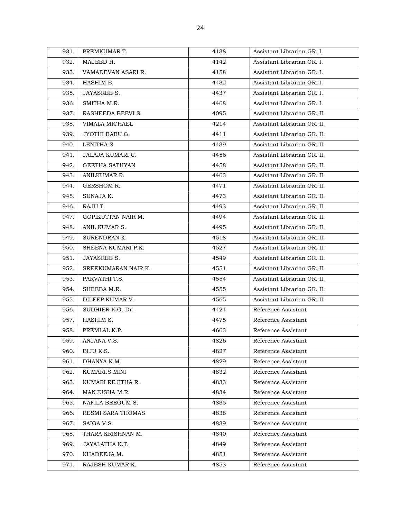| 931. | PREMKUMAR T.        | 4138 | Assistant Librarian GR. I.  |
|------|---------------------|------|-----------------------------|
| 932. | MAJEED H.           | 4142 | Assistant Librarian GR. I.  |
| 933. | VAMADEVAN ASARI R.  | 4158 | Assistant Librarian GR. I.  |
| 934. | HASHIM E.           | 4432 | Assistant Librarian GR. I.  |
| 935. | <b>JAYASREE S.</b>  | 4437 | Assistant Librarian GR. I.  |
| 936. | SMITHA M.R.         | 4468 | Assistant Librarian GR. I.  |
| 937. | RASHEEDA BEEVI S.   | 4095 | Assistant Librarian GR. II. |
| 938. | VIMALA MICHAEL      | 4214 | Assistant Librarian GR. II. |
| 939. | JYOTHI BABU G.      | 4411 | Assistant Librarian GR. II. |
| 940. | LENITHA S.          | 4439 | Assistant Librarian GR. II. |
| 941. | JALAJA KUMARI C.    | 4456 | Assistant Librarian GR. II. |
| 942. | GEETHA SATHYAN      | 4458 | Assistant Librarian GR. II. |
| 943. | ANILKUMAR R.        | 4463 | Assistant Librarian GR. II. |
| 944. | GERSHOM R.          | 4471 | Assistant Librarian GR. II. |
| 945. | SUNAJA K.           | 4473 | Assistant Librarian GR. II. |
| 946. | RAJU T.             | 4493 | Assistant Librarian GR. II. |
| 947. | GOPIKUTTAN NAIR M.  | 4494 | Assistant Librarian GR. II. |
| 948. | ANIL KUMAR S.       | 4495 | Assistant Librarian GR. II. |
| 949. | SURENDRAN K.        | 4518 | Assistant Librarian GR. II. |
| 950. | SHEENA KUMARI P.K.  | 4527 | Assistant Librarian GR. II. |
| 951. | <b>JAYASREE S.</b>  | 4549 | Assistant Librarian GR. II. |
| 952. | SREEKUMARAN NAIR K. | 4551 | Assistant Librarian GR. II. |
| 953. | PARVATHI T.S.       | 4554 | Assistant Librarian GR. II. |
| 954. | SHEEBA M.R.         | 4555 | Assistant Librarian GR. II. |
| 955. | DILEEP KUMAR V.     | 4565 | Assistant Librarian GR. II. |
| 956. | SUDHIER K.G. Dr.    | 4424 | Reference Assistant         |
| 957. | HASHIM S.           | 4475 | Reference Assistant         |
| 958. | PREMLAL K.P.        | 4663 | Reference Assistant         |
| 959. | ANJANA V.S.         | 4826 | Reference Assistant         |
| 960. | BIJU K.S.           | 4827 | Reference Assistant         |
| 961. | DHANYA K.M.         | 4829 | Reference Assistant         |
| 962. | KUMARI.S.MINI       | 4832 | Reference Assistant         |
| 963. | KUMARI REJITHA R.   | 4833 | Reference Assistant         |
| 964. | MANJUSHA M.R.       | 4834 | Reference Assistant         |
| 965. | NAFILA BEEGUM S.    | 4835 | Reference Assistant         |
| 966. | RESMI SARA THOMAS   | 4838 | Reference Assistant         |
| 967. | SAIGA V.S.          | 4839 | Reference Assistant         |
| 968. | THARA KRISHNAN M.   | 4840 | Reference Assistant         |
| 969. | JAYALATHA K.T.      | 4849 | Reference Assistant         |
| 970. | KHADEEJA M.         | 4851 | Reference Assistant         |
| 971. | RAJESH KUMAR K.     | 4853 | Reference Assistant         |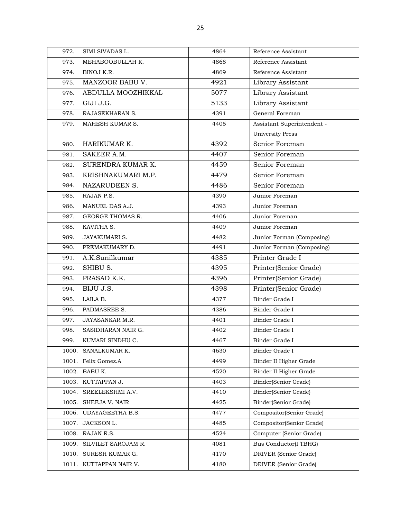| 972.  | SIMI SIVADAS L.     | 4864 | Reference Assistant        |
|-------|---------------------|------|----------------------------|
| 973.  | MEHABOOBULLAH K.    | 4868 | Reference Assistant        |
| 974.  | BINOJ K.R.          | 4869 | Reference Assistant        |
| 975.  | MANZOOR BABU V.     | 4921 | Library Assistant          |
| 976.  | ABDULLA MOOZHIKKAL  | 5077 | Library Assistant          |
| 977.  | GIJI J.G.           | 5133 | Library Assistant          |
| 978.  | RAJASEKHARAN S.     | 4391 | General Foreman            |
| 979.  | MAHESH KUMAR S.     | 4405 | Assistant Superintendent - |
|       |                     |      | <b>University Press</b>    |
| 980.  | HARIKUMAR K.        | 4392 | Senior Foreman             |
| 981.  | SAKEER A.M.         | 4407 | Senior Foreman             |
| 982.  | SURENDRA KUMAR K.   | 4459 | Senior Foreman             |
| 983.  | KRISHNAKUMARI M.P.  | 4479 | Senior Foreman             |
| 984.  | NAZARUDEEN S.       | 4486 | Senior Foreman             |
| 985.  | RAJAN P.S.          | 4390 | Junior Foreman             |
| 986.  | MANUEL DAS A.J.     | 4393 | Junior Foreman             |
| 987.  | GEORGE THOMAS R.    | 4406 | Junior Foreman             |
| 988.  | KAVITHA S.          | 4409 | Junior Foreman             |
| 989.  | <b>JAYAKUMARIS.</b> | 4482 | Junior Forman (Composing)  |
| 990.  | PREMAKUMARY D.      | 4491 | Junior Forman (Composing)  |
| 991.  | A.K.Sunilkumar      | 4385 | Printer Grade I            |
| 992.  | SHIBU S.            | 4395 | Printer(Senior Grade)      |
| 993.  | PRASAD K.K.         | 4396 | Printer(Senior Grade)      |
| 994.  | BIJU J.S.           | 4398 | Printer(Senior Grade)      |
| 995.  | LAILA B.            | 4377 | Binder Grade I             |
| 996.  | PADMASREE S.        | 4386 | Binder Grade I             |
| 997.  | JAYASANKAR M.R.     | 4401 | Binder Grade I             |
| 998.  | SASIDHARAN NAIR G.  | 4402 | Binder Grade I             |
| 999.  | KUMARI SINDHU C.    | 4467 | Binder Grade I             |
| 1000. | SANALKUMAR K.       | 4630 | Binder Grade I             |
| 1001. | Felix Gomez.A       | 4499 | Binder II Higher Grade     |
| 1002. | BABU K.             | 4520 | Binder II Higher Grade     |
| 1003. | KUTTAPPAN J.        | 4403 | Binder(Senior Grade)       |
| 1004. | SREELEKSHMI A.V.    | 4410 | Binder(Senior Grade)       |
| 1005. | SHEEJA V. NAIR      | 4425 | Binder(Senior Grade)       |
| 1006. | UDAYAGEETHA B.S.    | 4477 | Compositor(Senior Grade)   |
| 1007. | JACKSON L.          | 4485 | Compositor(Senior Grade)   |
| 1008. | RAJAN R.S.          | 4524 | Computer (Senior Grade)    |
| 1009. | SILVILET SAROJAM R. | 4081 | Bus Conductor(I TBHG)      |
| 1010. | SURESH KUMAR G.     | 4170 | DRIVER (Senior Grade)      |
| 1011  | KUTTAPPAN NAIR V.   | 4180 | DRIVER (Senior Grade)      |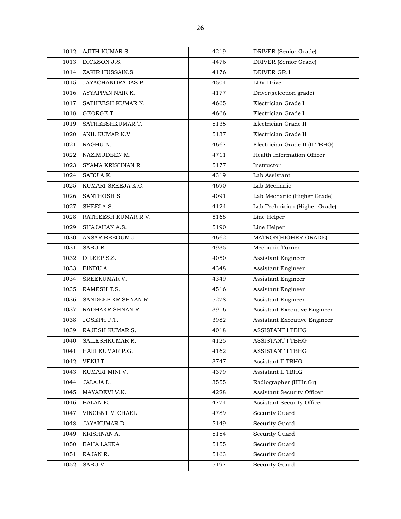| 1012. | AJITH KUMAR S.           | 4219 | DRIVER (Senior Grade)          |
|-------|--------------------------|------|--------------------------------|
| 1013. | DICKSON J.S.             | 4476 | DRIVER (Senior Grade)          |
| 1014. | ZAKIR HUSSAIN.S          | 4176 | DRIVER GR.1                    |
| 1015. | <b>JAYACHANDRADAS P.</b> | 4504 | <b>LDV</b> Driver              |
| 1016. | AYYAPPAN NAIR K.         | 4177 | Driver(selection grade)        |
| 1017. | SATHEESH KUMAR N.        | 4665 | Electrician Grade I            |
| 1018. | GEORGE T.                | 4666 | Electrician Grade I            |
| 1019. | SATHEESHKUMAR T.         | 5135 | Electrician Grade II           |
| 1020. | ANIL KUMAR K.V           | 5137 | Electrician Grade II           |
| 1021. | RAGHU N.                 | 4667 | Electrician Grade II (II TBHG) |
| 1022. | NAZIMUDEEN M.            | 4711 | Health Information Officer     |
| 1023. | SYAMA KRISHNAN R.        | 5177 | Instructor                     |
| 1024. | SABU A.K.                | 4319 | Lab Assistant                  |
| 1025. | KUMARI SREEJA K.C.       | 4690 | Lab Mechanic                   |
| 1026. | SANTHOSH S.              | 4091 | Lab Mechanic (Higher Grade)    |
| 1027. | SHEELA S.                | 4124 | Lab Technician (Higher Grade)  |
| 1028. | RATHEESH KUMAR R.V.      | 5168 | Line Helper                    |
| 1029. | SHAJAHAN A.S.            | 5190 | Line Helper                    |
| 1030. | ANSAR BEEGUM J.          | 4662 | MATRON(HIGHER GRADE)           |
| 1031. | SABU R.                  | 4935 | Mechanic Turner                |
| 1032. | DILEEP S.S.              | 4050 | Assistant Engineer             |
| 1033. | BINDU A.                 | 4348 | Assistant Engineer             |
| 1034. | SREEKUMAR V.             | 4349 | Assistant Engineer             |
| 1035. | RAMESH T.S.              | 4516 | Assistant Engineer             |
| 1036. | SANDEEP KRISHNAN R       | 5278 | Assistant Engineer             |
| 1037. | RADHAKRISHNAN R.         | 3916 | Assistant Executive Engineer   |
| 1038. | JOSEPH P.T.              | 3982 | Assistant Executive Engineer   |
| 1039. | RAJESH KUMAR S.          | 4018 | <b>ASSISTANT I TBHG</b>        |
| 1040. | SAILESHKUMAR R.          | 4125 | ASSISTANT I TBHG               |
| 1041. | HARI KUMAR P.G.          | 4162 | ASSISTANT I TBHG               |
| 1042. | VENU T.                  | 3747 | Assistant II TBHG              |
| 1043. | KUMARI MINI V.           | 4379 | Assistant II TBHG              |
| 1044. | JALAJA L.                | 3555 | Radiographer (IIIHr.Gr)        |
| 1045. | MAYADEVI V.K.            | 4228 | Assistant Security Officer     |
| 1046. | <b>BALAN E.</b>          | 4774 | Assistant Security Officer     |
| 1047. | VINCENT MICHAEL          | 4789 | Security Guard                 |
| 1048. | JAYAKUMAR D.             | 5149 | Security Guard                 |
| 1049. | KRISHNAN A.              | 5154 | Security Guard                 |
| 1050. | BAHA LAKRA               | 5155 | Security Guard                 |
| 1051. | RAJAN R.                 | 5163 | Security Guard                 |
| 1052. | SABU V.                  | 5197 | Security Guard                 |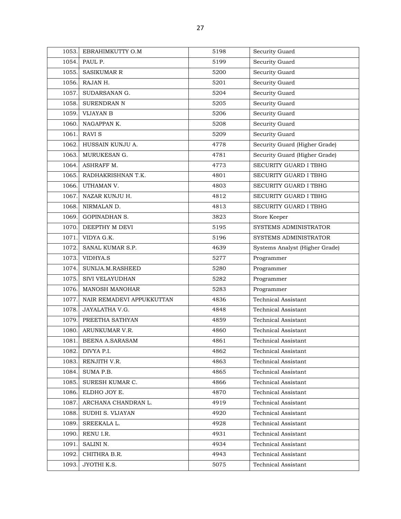| 1053. | EBRAHIMKUTTY O.M          | 5198 | Security Guard                 |
|-------|---------------------------|------|--------------------------------|
| 1054. | PAUL P.                   | 5199 | Security Guard                 |
| 1055. | <b>SASIKUMAR R</b>        | 5200 | Security Guard                 |
| 1056. | RAJAN H.                  | 5201 | Security Guard                 |
| 1057. | SUDARSANAN G.             | 5204 | Security Guard                 |
| 1058. | SURENDRAN N               | 5205 | Security Guard                 |
| 1059. | <b>VIJAYAN B</b>          | 5206 | Security Guard                 |
| 1060. | NAGAPPAN K.               | 5208 | Security Guard                 |
| 1061. | <b>RAVI S</b>             | 5209 | Security Guard                 |
| 1062. | HUSSAIN KUNJU A.          | 4778 | Security Guard (Higher Grade)  |
| 1063. | MURUKESAN G.              | 4781 | Security Guard (Higher Grade)  |
| 1064. | ASHRAFF M.                | 4773 | SECURITY GUARD I TBHG          |
| 1065. | RADHAKRISHNAN T.K.        | 4801 | <b>SECURITY GUARD I TBHG</b>   |
| 1066. | UTHAMAN V.                | 4803 | <b>SECURITY GUARD I TBHG</b>   |
| 1067. | NAZAR KUNJU H.            | 4812 | <b>SECURITY GUARD I TBHG</b>   |
| 1068. | NIRMALAN D.               | 4813 | SECURITY GUARD I TBHG          |
| 1069. | <b>GOPINADHAN S.</b>      | 3823 | Store Keeper                   |
| 1070. | DEEPTHY M DEVI            | 5195 | SYSTEMS ADMINISTRATOR          |
| 1071. | VIDYA G.K.                | 5196 | SYSTEMS ADMINISTRATOR          |
| 1072. | SANAL KUMAR S.P.          | 4639 | Systems Analyst (Higher Grade) |
| 1073. | VIDHYA.S                  | 5277 | Programmer                     |
| 1074. | SUNIJA.M.RASHEED          | 5280 | Programmer                     |
| 1075. | SIVI VELAYUDHAN           | 5282 | Programmer                     |
| 1076. | <b>MANOSH MANOHAR</b>     | 5283 | Programmer                     |
| 1077. | NAIR REMADEVI APPUKKUTTAN | 4836 | Technical Assistant            |
| 1078. | JAYALATHA V.G.            | 4848 | <b>Technical Assistant</b>     |
| 1079. | PREETHA SATHYAN           | 4859 | <b>Technical Assistant</b>     |
| 1080. | ARUNKUMAR V.R.            | 4860 | Technical Assistant            |
| 1081. | BEENA A.SARASAM           | 4861 | Technical Assistant            |
| 1082. | DIVYA P.I.                | 4862 | Technical Assistant            |
| 1083. | RENJITH V.R.              | 4863 | Technical Assistant            |
| 1084. | SUMA P.B.                 | 4865 | <b>Technical Assistant</b>     |
| 1085. | SURESH KUMAR C.           | 4866 | Technical Assistant            |
| 1086. | ELDHO JOY E.              | 4870 | Technical Assistant            |
| 1087. | ARCHANA CHANDRAN L.       | 4919 | <b>Technical Assistant</b>     |
| 1088. | SUDHI S. VIJAYAN          | 4920 | <b>Technical Assistant</b>     |
| 1089. | SREEKALA L.               | 4928 | Technical Assistant            |
| 1090. | RENU I.R.                 | 4931 | Technical Assistant            |
| 1091. | SALINI N.                 | 4934 | Technical Assistant            |
| 1092. | CHITHRA B.R.              | 4943 | <b>Technical Assistant</b>     |
| 1093. | JYOTHI K.S.               | 5075 | Technical Assistant            |